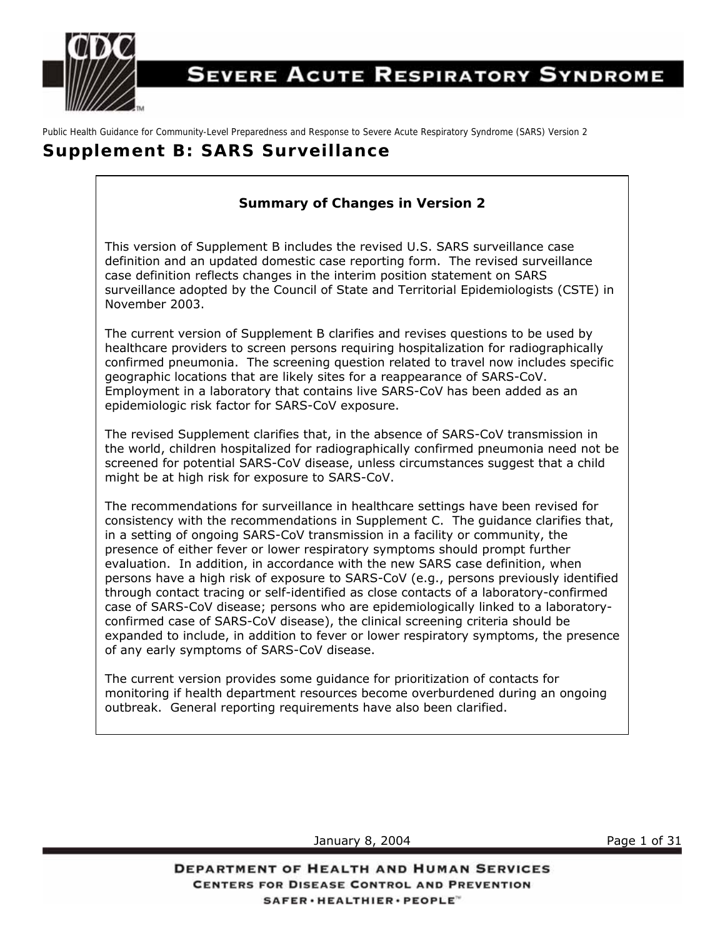

# **SEVERE ACUTE RESPIRATORY SYNDROME**

Public Health Guidance for Community-Level Preparedness and Response to Severe Acute Respiratory Syndrome (SARS) Version 2

# **Supplement B: SARS Surveillance**

# **Summary of Changes in Version 2**

This version of Supplement B includes the revised U.S. SARS surveillance case definition and an updated domestic case reporting form. The revised surveillance case definition reflects changes in the interim position statement on SARS surveillance adopted by the Council of State and Territorial Epidemiologists (CSTE) in November 2003.

The current version of Supplement B clarifies and revises questions to be used by healthcare providers to screen persons requiring hospitalization for radiographically confirmed pneumonia. The screening question related to travel now includes specific geographic locations that are likely sites for a reappearance of SARS-CoV. Employment in a laboratory that contains live SARS-CoV has been added as an epidemiologic risk factor for SARS-CoV exposure.

The revised Supplement clarifies that, in the absence of SARS-CoV transmission in the world, children hospitalized for radiographically confirmed pneumonia need not be screened for potential SARS-CoV disease, unless circumstances suggest that a child might be at high risk for exposure to SARS-CoV.

The recommendations for surveillance in healthcare settings have been revised for consistency with the recommendations in Supplement C. The guidance clarifies that, in a setting of ongoing SARS-CoV transmission in a facility or community, the presence of either fever *or* lower respiratory symptoms should prompt further evaluation. In addition, in accordance with the new SARS case definition, when persons have a high risk of exposure to SARS-CoV (e.g., persons previously identified through contact tracing or self-identified as close contacts of a laboratory-confirmed case of SARS-CoV disease; persons who are epidemiologically linked to a laboratoryconfirmed case of SARS-CoV disease), the clinical screening criteria should be expanded to include, in addition to fever or lower respiratory symptoms, the presence of any early symptoms of SARS-CoV disease.

The current version provides some guidance for prioritization of contacts for monitoring if health department resources become overburdened during an ongoing outbreak. General reporting requirements have also been clarified.

January 8, 2004 **Page 1 of 31** 

**DEPARTMENT OF HEALTH AND HUMAN SERVICES CENTERS FOR DISEASE CONTROL AND PREVENTION** SAFER · HEALTHIER · PEOPLE"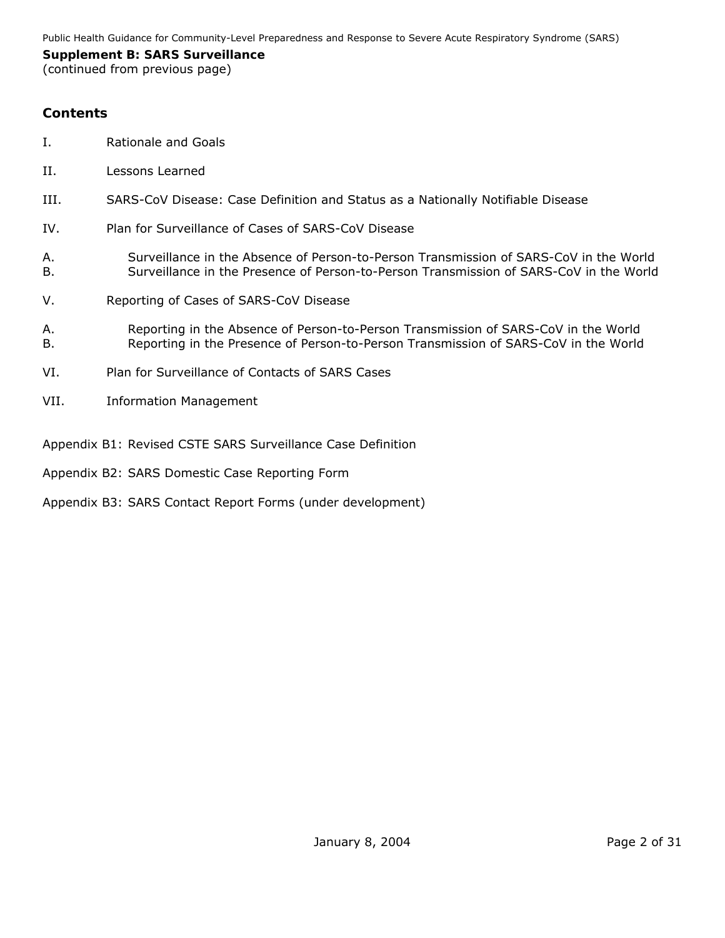#### **Supplement B: SARS Surveillance**

(continued from previous page)

# **Contents**

- I. Rationale and Goals
- II. Lessons Learned
- III. SARS-CoV Disease: Case Definition and Status as a Nationally Notifiable Disease
- IV. Plan for Surveillance of Cases of SARS-CoV Disease
- A. Surveillance in the Absence of Person-to-Person Transmission of SARS-CoV in the World B. Surveillance in the Presence of Person-to-Person Transmission of SARS-CoV in the World
- V. Reporting of Cases of SARS-CoV Disease
- A. Reporting in the Absence of Person-to-Person Transmission of SARS-CoV in the World B. Reporting in the Presence of Person-to-Person Transmission of SARS-CoV in the World
- VI. Plan for Surveillance of Contacts of SARS Cases
- VII. Information Management

Appendix B1: Revised CSTE SARS Surveillance Case Definition

- Appendix B2: SARS Domestic Case Reporting Form
- Appendix B3: SARS Contact Report Forms (under development)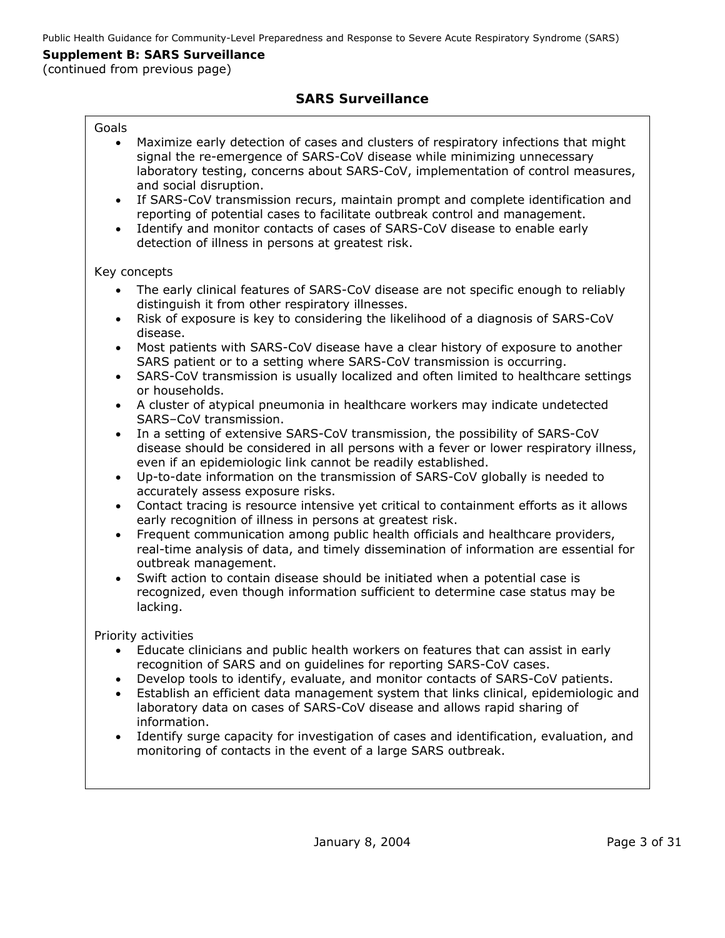(continued from previous page)

# **SARS Surveillance**

| Goals<br>Maximize early detection of cases and clusters of respiratory infections that might<br>$\bullet$<br>signal the re-emergence of SARS-CoV disease while minimizing unnecessary<br>laboratory testing, concerns about SARS-CoV, implementation of control measures,<br>and social disruption.<br>If SARS-CoV transmission recurs, maintain prompt and complete identification and<br>$\bullet$<br>reporting of potential cases to facilitate outbreak control and management.<br>Identify and monitor contacts of cases of SARS-CoV disease to enable early<br>$\bullet$<br>detection of illness in persons at greatest risk.                                                                                                                                                                                                                                 |
|---------------------------------------------------------------------------------------------------------------------------------------------------------------------------------------------------------------------------------------------------------------------------------------------------------------------------------------------------------------------------------------------------------------------------------------------------------------------------------------------------------------------------------------------------------------------------------------------------------------------------------------------------------------------------------------------------------------------------------------------------------------------------------------------------------------------------------------------------------------------|
| Key concepts                                                                                                                                                                                                                                                                                                                                                                                                                                                                                                                                                                                                                                                                                                                                                                                                                                                        |
| The early clinical features of SARS-CoV disease are not specific enough to reliably<br>distinguish it from other respiratory illnesses.<br>Risk of exposure is key to considering the likelihood of a diagnosis of SARS-CoV<br>$\bullet$<br>disease.<br>Most patients with SARS-CoV disease have a clear history of exposure to another<br>$\bullet$<br>SARS patient or to a setting where SARS-CoV transmission is occurring.<br>SARS-CoV transmission is usually localized and often limited to healthcare settings<br>$\bullet$<br>or households.<br>A cluster of atypical pneumonia in healthcare workers may indicate undetected<br>$\bullet$<br>SARS-CoV transmission.<br>In a setting of extensive SARS-CoV transmission, the possibility of SARS-CoV<br>$\bullet$<br>disease should be considered in all persons with a fever or lower respiratory illness, |
| even if an epidemiologic link cannot be readily established.<br>Up-to-date information on the transmission of SARS-CoV globally is needed to<br>$\bullet$                                                                                                                                                                                                                                                                                                                                                                                                                                                                                                                                                                                                                                                                                                           |
| accurately assess exposure risks.<br>Contact tracing is resource intensive yet critical to containment efforts as it allows<br>$\bullet$<br>early recognition of illness in persons at greatest risk.<br>Frequent communication among public health officials and healthcare providers,<br>$\bullet$<br>real-time analysis of data, and timely dissemination of information are essential for                                                                                                                                                                                                                                                                                                                                                                                                                                                                       |
| outbreak management.<br>Swift action to contain disease should be initiated when a potential case is<br>$\bullet$<br>recognized, even though information sufficient to determine case status may be<br>lacking.                                                                                                                                                                                                                                                                                                                                                                                                                                                                                                                                                                                                                                                     |
| Priority activities<br>Educate clinicians and public health workers on features that can assist in early<br>$\bullet$<br>recognition of SARS and on guidelines for reporting SARS-CoV cases.<br>Develop tools to identify, evaluate, and monitor contacts of SARS-CoV patients.<br>$\bullet$<br>Establish an efficient data management system that links clinical, epidemiologic and<br>$\bullet$<br>laboratory data on cases of SARS-CoV disease and allows rapid sharing of<br>information.                                                                                                                                                                                                                                                                                                                                                                       |
| Identify surge capacity for investigation of cases and identification, evaluation, and<br>$\bullet$<br>monitoring of contacts in the event of a large SARS outbreak.                                                                                                                                                                                                                                                                                                                                                                                                                                                                                                                                                                                                                                                                                                |
|                                                                                                                                                                                                                                                                                                                                                                                                                                                                                                                                                                                                                                                                                                                                                                                                                                                                     |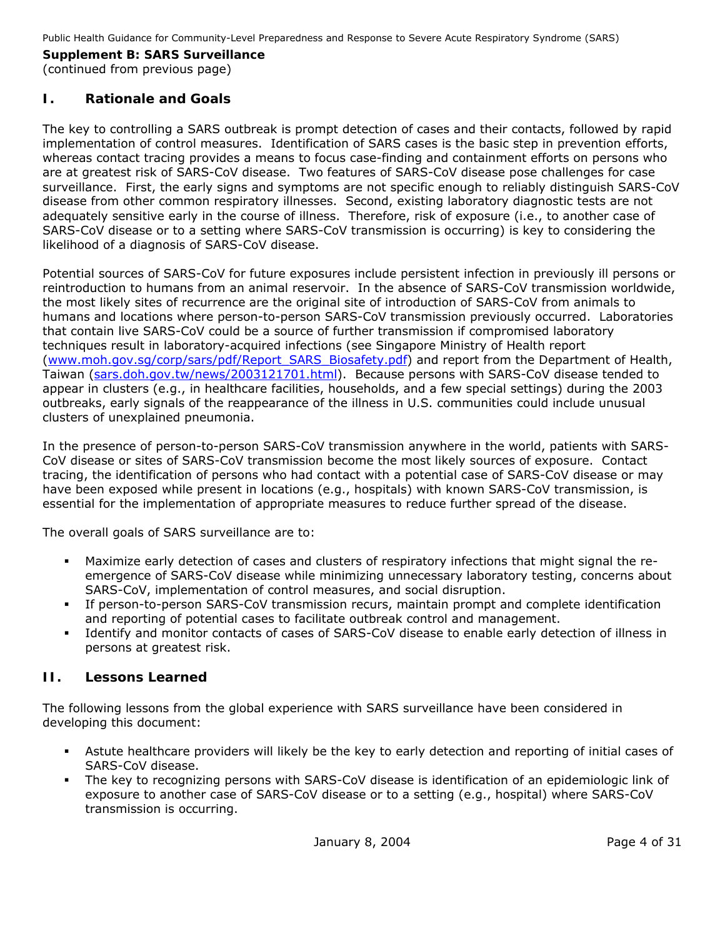#### **Supplement B: SARS Surveillance**  (continued from previous page)

# **I. Rationale and Goals**

The key to controlling a SARS outbreak is prompt detection of cases and their contacts, followed by rapid implementation of control measures. Identification of SARS cases is the basic step in prevention efforts, whereas contact tracing provides a means to focus case-finding and containment efforts on persons who are at greatest risk of SARS-CoV disease. Two features of SARS-CoV disease pose challenges for case surveillance. First, the early signs and symptoms are not specific enough to reliably distinguish SARS-CoV disease from other common respiratory illnesses. Second, existing laboratory diagnostic tests are not adequately sensitive early in the course of illness. Therefore, risk of exposure (i.e., to another case of SARS-CoV disease or to a setting where SARS-CoV transmission is occurring) is key to considering the likelihood of a diagnosis of SARS-CoV disease.

Potential sources of SARS-CoV for future exposures include persistent infection in previously ill persons or reintroduction to humans from an animal reservoir. In the absence of SARS-CoV transmission worldwide, the most likely sites of recurrence are the original site of introduction of SARS-CoV from animals to humans and locations where person-to-person SARS-CoV transmission previously occurred. Laboratories that contain live SARS-CoV could be a source of further transmission if compromised laboratory techniques result in laboratory-acquired infections (see Singapore Ministry of Health report ([www.moh.gov.sg/corp/sars/pdf/Report\\_SARS\\_Biosafety.pdf\)](http://www.moh.gov.sg/corp/sars/pdf/Report_SARS_Biosafety.pdf) and report from the Department of Health, Taiwan ([sars.doh.gov.tw/news/2003121701.html\)](http://sars.doh.gov.tw/news/2003121701.html). Because persons with SARS-CoV disease tended to appear in clusters (e.g., in healthcare facilities, households, and a few special settings) during the 2003 outbreaks, early signals of the reappearance of the illness in U.S. communities could include unusual clusters of unexplained pneumonia.

In the presence of person-to-person SARS-CoV transmission anywhere in the world, patients with SARS-CoV disease or sites of SARS-CoV transmission become the most likely sources of exposure. Contact tracing, the identification of persons who had contact with a potential case of SARS-CoV disease or may have been exposed while present in locations (e.g., hospitals) with known SARS-CoV transmission, is essential for the implementation of appropriate measures to reduce further spread of the disease.

The overall goals of SARS surveillance are to:

- Maximize early detection of cases and clusters of respiratory infections that might signal the reemergence of SARS-CoV disease while minimizing unnecessary laboratory testing, concerns about SARS-CoV, implementation of control measures, and social disruption.
- If person-to-person SARS-CoV transmission recurs, maintain prompt and complete identification and reporting of potential cases to facilitate outbreak control and management.
- Identify and monitor contacts of cases of SARS-CoV disease to enable early detection of illness in persons at greatest risk.

# **II. Lessons Learned**

The following lessons from the global experience with SARS surveillance have been considered in developing this document:

- Astute healthcare providers will likely be the key to early detection and reporting of initial cases of SARS-CoV disease.
- The key to recognizing persons with SARS-CoV disease is identification of an epidemiologic link of exposure to another case of SARS-CoV disease or to a setting (e.g., hospital) where SARS-CoV transmission is occurring.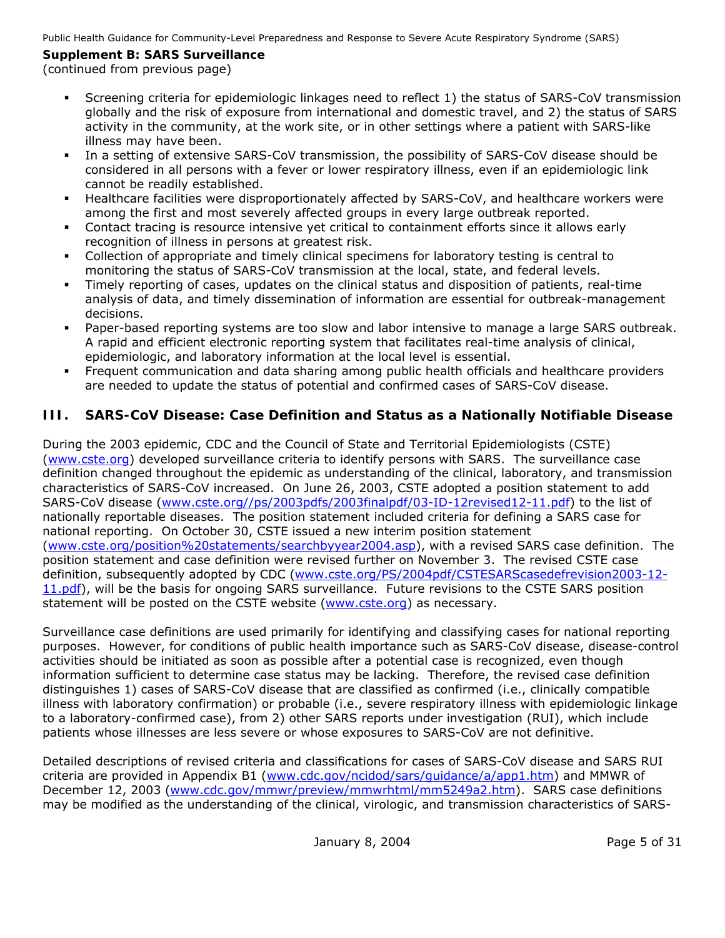# **Supplement B: SARS Surveillance**

# (continued from previous page)

- Screening criteria for epidemiologic linkages need to reflect 1) the status of SARS-CoV transmission globally and the risk of exposure from international and domestic travel, and 2) the status of SARS activity in the community, at the work site, or in other settings where a patient with SARS-like illness may have been.
- In a setting of extensive SARS-CoV transmission, the possibility of SARS-CoV disease should be considered in all persons with a fever or lower respiratory illness, even if an epidemiologic link cannot be readily established.
- Healthcare facilities were disproportionately affected by SARS-CoV, and healthcare workers were among the first and most severely affected groups in every large outbreak reported.
- Contact tracing is resource intensive yet critical to containment efforts since it allows early recognition of illness in persons at greatest risk.
- Collection of appropriate and timely clinical specimens for laboratory testing is central to monitoring the status of SARS-CoV transmission at the local, state, and federal levels.
- Timely reporting of cases, updates on the clinical status and disposition of patients, real-time analysis of data, and timely dissemination of information are essential for outbreak-management decisions.
- Paper-based reporting systems are too slow and labor intensive to manage a large SARS outbreak. A rapid and efficient electronic reporting system that facilitates real-time analysis of clinical, epidemiologic, and laboratory information at the local level is essential.
- Frequent communication and data sharing among public health officials and healthcare providers are needed to update the status of potential and confirmed cases of SARS-CoV disease.

# **III. SARS-CoV Disease: Case Definition and Status as a Nationally Notifiable Disease**

During the 2003 epidemic, CDC and the Council of State and Territorial Epidemiologists (CSTE) ([www.cste.org](http://www.cste.org/)) developed surveillance criteria to identify persons with SARS. The surveillance case definition changed throughout the epidemic as understanding of the clinical, laboratory, and transmission characteristics of SARS-CoV increased. On June 26, 2003, CSTE adopted a position statement to add SARS-CoV disease ([www.cste.org//ps/2003pdfs/2003finalpdf/03-ID-12revised12-11.pdf](http://www.cste.org//ps/2003pdfs/2003finalpdf/03-ID-12revised12-11.pdf)) to the list of nationally reportable diseases. The position statement included criteria for defining a SARS case for national reporting. On October 30, CSTE issued a new interim position statement ([www.cste.org/position%20statements/searchbyyear2004.asp](http://www.cste.org/position statements/searchbyyear2004.asp)), with a revised SARS case definition. The position statement and case definition were revised further on November 3. The revised CSTE case definition, subsequently adopted by CDC [\(www.cste.org/PS/2004pdf/CSTESARScasedefrevision2003-12-](http://www.cdc.gov/ncidod/sars/casedefinition.htm) [11.pdf](http://www.cdc.gov/ncidod/sars/casedefinition.htm)), will be the basis for ongoing SARS surveillance. Future revisions to the CSTE SARS position statement will be posted on the CSTE website [\(www.cste.org\)](http://www.cste.org/) as necessary.

Surveillance case definitions are used primarily for identifying and classifying cases for national reporting purposes. However, for conditions of public health importance such as SARS-CoV disease, disease-control activities should be initiated as soon as possible after a potential case is recognized, even though information sufficient to determine case status may be lacking. Therefore, the revised case definition distinguishes 1) cases of SARS-CoV disease that are classified as confirmed (i.e., clinically compatible illness with laboratory confirmation) or probable (i.e., severe respiratory illness with epidemiologic linkage to a laboratory-confirmed case), from 2) other SARS reports under investigation (RUI), which include patients whose illnesses are less severe or whose exposures to SARS-CoV are not definitive.

Detailed descriptions of revised criteria and classifications for cases of SARS-CoV disease and SARS RUI criteria are provided in Appendix B1 [\(www.cdc.gov/ncidod/sars/guidance/a/app1.htm\)](http://www.cdc.gov/ncidod/sars/guidance/a/app1.htm) and MMWR of December 12, 2003 [\(www.cdc.gov/mmwr/preview/mmwrhtml/mm5249a2.htm\)](http://www.cdc.gov/mmwr/preview/mmwrhtml/mm5249a2.htm). SARS case definitions may be modified as the understanding of the clinical, virologic, and transmission characteristics of SARS-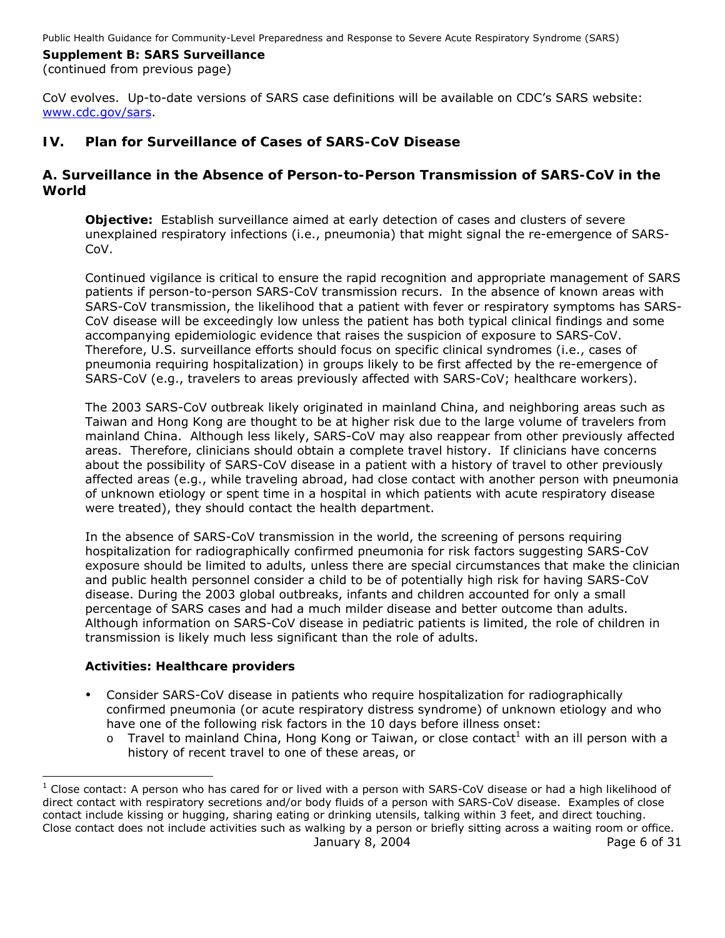#### **Supplement B: SARS Surveillance**  (continued from previous page)

CoV evolves. Up-to-date versions of SARS case definitions will be available on CDC's SARS website: [www.cdc.gov/sars.](http://www.cdc.gov/ncidod/sars/)

# **IV. Plan for Surveillance of Cases of SARS-CoV Disease**

# *A. Surveillance in the Absence of Person-to-Person Transmission of SARS-CoV in the World*

**Objective:** Establish surveillance aimed at early detection of cases and clusters of severe unexplained respiratory infections (i.e., pneumonia) that might signal the re-emergence of SARS-CoV.

Continued vigilance is critical to ensure the rapid recognition and appropriate management of SARS patients if person-to-person SARS-CoV transmission recurs. In the absence of known areas with SARS-CoV transmission, the likelihood that a patient with fever or respiratory symptoms has SARS-CoV disease will be exceedingly low unless the patient has both typical clinical findings and some accompanying epidemiologic evidence that raises the suspicion of exposure to SARS-CoV. Therefore, U.S. surveillance efforts should focus on specific clinical syndromes (i.e., cases of pneumonia requiring hospitalization) in groups likely to be first affected by the re-emergence of SARS-CoV (e.g., travelers to areas previously affected with SARS-CoV; healthcare workers).

The 2003 SARS-CoV outbreak likely originated in mainland China, and neighboring areas such as Taiwan and Hong Kong are thought to be at higher risk due to the large volume of travelers from mainland China. Although less likely, SARS-CoV may also reappear from other previously affected areas. Therefore, clinicians should obtain a complete travel history. If clinicians have concerns about the possibility of SARS-CoV disease in a patient with a history of travel to other previously affected areas (e.g., while traveling abroad, had close contact with another person with pneumonia of unknown etiology or spent time in a hospital in which patients with acute respiratory disease were treated), they should contact the health department.

In the absence of SARS-CoV transmission in the world, the screening of persons requiring hospitalization for radiographically confirmed pneumonia for risk factors suggesting SARS-CoV exposure should be limited to adults, unless there are special circumstances that make the clinician and public health personnel consider a child to be of potentially high risk for having SARS-CoV disease. During the 2003 global outbreaks, infants and children accounted for only a small percentage of SARS cases and had a much milder disease and better outcome than adults. Although information on SARS-CoV disease in pediatric patients is limited, the role of children in transmission is likely much less significant than the role of adults.

#### **Activities: Healthcare providers**

- Consider SARS-CoV disease in patients who require hospitalization for radiographically confirmed pneumonia (or acute respiratory distress syndrome) of unknown etiology *and* who have one of the following risk factors in the 10 days before illness onset:
	- $\circ$  Travel to mainland China, Hong Kong or Taiwan, or close contact<sup>[1](#page-5-0)</sup> with an ill person with a history of recent travel to one of these areas, *or*

<span id="page-5-0"></span>January 8, 2004 **Page 6 of 31**  1 Close contact: A person who has cared for or lived with a person with SARS-CoV disease or had a high likelihood of direct contact with respiratory secretions and/or body fluids of a person with SARS-CoV disease. Examples of close contact include kissing or hugging, sharing eating or drinking utensils, talking within 3 feet, and direct touching. Close contact does not include activities such as walking by a person or briefly sitting across a waiting room or office.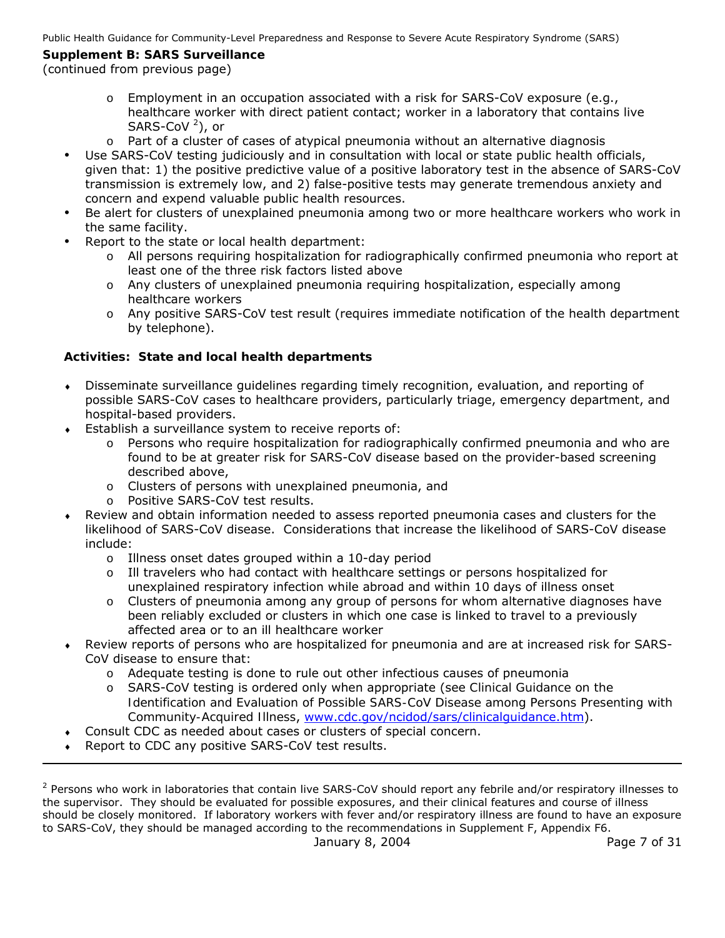# **Supplement B: SARS Surveillance**

# (continued from previous page)

- o Employment in an occupation associated with a risk for SARS-CoV exposure (e.g., healthcare worker with direct patient contact; worker in a laboratory that contains live SARS-CoV [2](#page-6-0) ), *or*
- $\circ$  Part of a cluster of cases of atypical pneumonia without an alternative diagnosis
- Use SARS-CoV testing judiciously and in consultation with local or state public health officials, given that: 1) the positive predictive value of a positive laboratory test in the absence of SARS-CoV transmission is extremely low, and 2) false-positive tests may generate tremendous anxiety and concern and expend valuable public health resources.
- Be alert for clusters of unexplained pneumonia among two or more healthcare workers who work in the same facility.
- Report to the state or local health department:
	- o All persons requiring hospitalization for radiographically confirmed pneumonia who report at least one of the three risk factors listed above
	- o Any clusters of unexplained pneumonia requiring hospitalization, especially among healthcare workers
	- o Any positive SARS-CoV test result (requires immediate notification of the health department by telephone).

# **Activities: State and local health departments**

- ♦ Disseminate surveillance guidelines regarding timely recognition, evaluation, and reporting of possible SARS-CoV cases to healthcare providers, particularly triage, emergency department, and hospital-based providers.
- ♦ Establish a surveillance system to receive reports of:
	- $\circ$  Persons who require hospitalization for radiographically confirmed pneumonia and who are found to be at greater risk for SARS-CoV disease based on the provider-based screening described above,
	- o Clusters of persons with unexplained pneumonia, and
	- o Positive SARS-CoV test results.
- Review and obtain information needed to assess reported pneumonia cases and clusters for the likelihood of SARS-CoV disease. Considerations that increase the likelihood of SARS-CoV disease include:
	- o Illness onset dates grouped within a 10-day period
	- o Ill travelers who had contact with healthcare settings or persons hospitalized for unexplained respiratory infection while abroad and within 10 days of illness onset
	- $\circ$  Clusters of pneumonia among any group of persons for whom alternative diagnoses have been reliably excluded or clusters in which one case is linked to travel to a previously affected area or to an ill healthcare worker
- Review reports of persons who are hospitalized for pneumonia and are at increased risk for SARS-CoV disease to ensure that:
	- $\circ$  Adequate testing is done to rule out other infectious causes of pneumonia
	- o SARS-CoV testing is ordered only when appropriate (see *Clinical Guidance on the Identification and Evaluation of Possible SARS-CoV Disease among Persons Presenting with Community-Acquired Illness*, [www.cdc.gov/ncidod/sars/clinicalguidance.htm](http://www.cdc.gov/ncidod/sars/clinicalguidance.htm)).
- Consult CDC as needed about cases or clusters of special concern.
- Report to CDC any positive SARS-CoV test results.

<span id="page-6-0"></span>January 8, 2004 **Page 7 of 31** <sup>2</sup> Persons who work in laboratories that contain live SARS-CoV should report any febrile and/or respiratory illnesses to the supervisor. They should be evaluated for possible exposures, and their clinical features and course of illness should be closely monitored. If laboratory workers with fever and/or respiratory illness are found to have an exposure to SARS-CoV, they should be managed according to the recommendations in Supplement F, Appendix F6.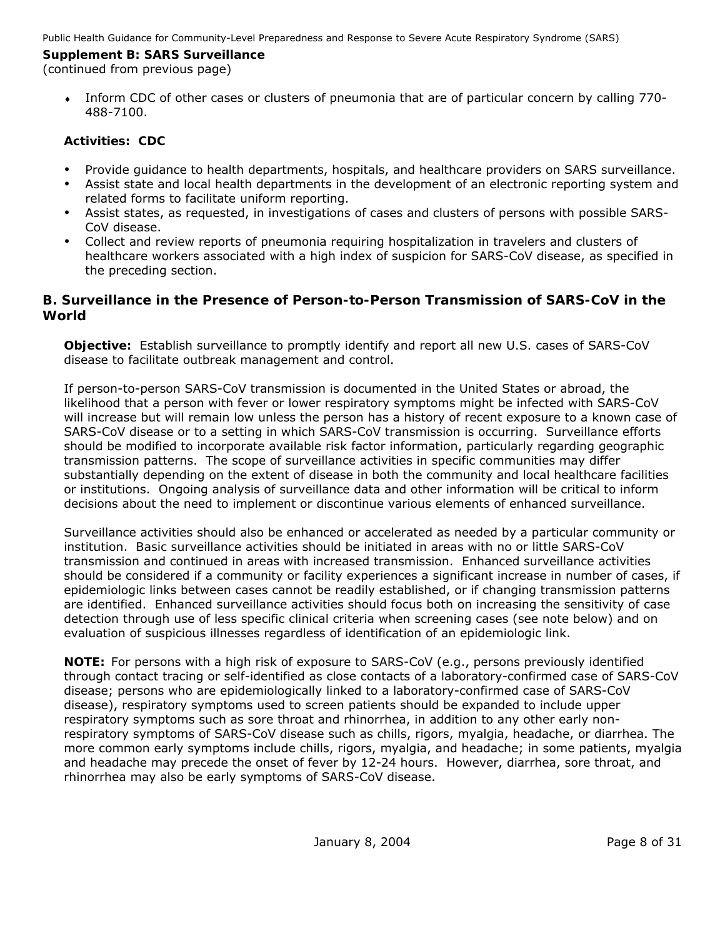# **Supplement B: SARS Surveillance**

(continued from previous page)

Inform CDC of other cases or clusters of pneumonia that are of particular concern by calling 770-488-7100.

# **Activities: CDC**

- Provide guidance to health departments, hospitals, and healthcare providers on SARS surveillance.
- Assist state and local health departments in the development of an electronic reporting system and related forms to facilitate uniform reporting.
- Assist states, as requested, in investigations of cases and clusters of persons with possible SARS-CoV disease.
- Collect and review reports of pneumonia requiring hospitalization in travelers and clusters of healthcare workers associated with a high index of suspicion for SARS-CoV disease, as specified in the preceding section.

# *B. Surveillance in the Presence of Person-to-Person Transmission of SARS-CoV in the World*

**Objective:** Establish surveillance to promptly identify and report all new U.S. cases of SARS-CoV disease to facilitate outbreak management and control.

If person-to-person SARS-CoV transmission is documented in the United States or abroad, the likelihood that a person with fever or lower respiratory symptoms might be infected with SARS-CoV will increase but will remain low unless the person has a history of recent exposure to a known case of SARS-CoV disease or to a setting in which SARS-CoV transmission is occurring. Surveillance efforts should be modified to incorporate available risk factor information, particularly regarding geographic transmission patterns. The scope of surveillance activities in specific communities may differ substantially depending on the extent of disease in both the community and local healthcare facilities or institutions. Ongoing analysis of surveillance data and other information will be critical to inform decisions about the need to implement or discontinue various elements of enhanced surveillance.

Surveillance activities should also be enhanced or accelerated as needed by a particular community or institution. *Basic surveillance activities* should be initiated in areas with no or little SARS-CoV transmission and continued in areas with increased transmission. *Enhanced surveillance activities* should be considered if a community or facility experiences a significant increase in number of cases, if epidemiologic links between cases cannot be readily established, or if changing transmission patterns are identified. Enhanced surveillance activities should focus both on increasing the sensitivity of case detection through use of less specific clinical criteria when screening cases (see note below) and on evaluation of suspicious illnesses regardless of identification of an epidemiologic link.

**NOTE:** For persons with a high risk of exposure to SARS-CoV (e.g., persons previously identified through contact tracing or self-identified as close contacts of a laboratory-confirmed case of SARS-CoV disease; persons who are epidemiologically linked to a laboratory-confirmed case of SARS-CoV disease), respiratory symptoms used to screen patients should be expanded to include upper respiratory symptoms such as sore throat and rhinorrhea, in addition to any other early nonrespiratory symptoms of SARS-CoV disease such as chills, rigors, myalgia, headache, or diarrhea. The more common early symptoms include chills, rigors, myalgia, and headache; in some patients, myalgia and headache may precede the onset of fever by 12-24 hours. However, diarrhea, sore throat, and rhinorrhea may also be early symptoms of SARS-CoV disease.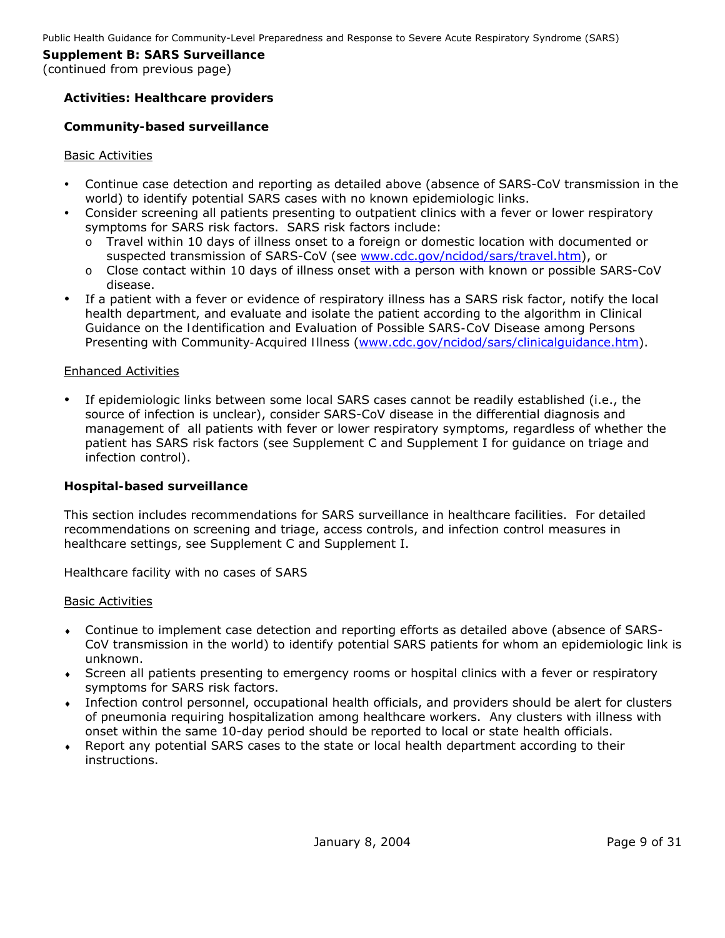# **Activities: Healthcare providers**

### *Community-based surveillance*

#### Basic Activities

- y Continue case detection and reporting as detailed above (absence of SARS-CoV transmission in the world) to identify potential SARS cases with no known epidemiologic links.
- Consider screening all patients presenting to outpatient clinics with a fever or lower respiratory symptoms for SARS risk factors. SARS risk factors include:
	- o Travel within 10 days of illness onset to a foreign or domestic location with documented or suspected transmission of SARS-CoV (see [www.cdc.gov/ncidod/sars/travel.htm](http://www.cdc.gov/ncidod/sars/travel.htm)), *or*
	- o Close contact within 10 days of illness onset with a person with known or possible SARS-CoV disease.
- If a patient with a fever or evidence of respiratory illness has a SARS risk factor, notify the local health department, and evaluate and isolate the patient according to the algorithm in *Clinical Guidance on the Identification and Evaluation of Possible SARS-CoV Disease among Persons Presenting with Community-Acquired Illness* [\(www.cdc.gov/ncidod/sars/clinicalguidance.htm\)](http://www.cdc.gov/ncidod/sars/clinicalguidance.htm).

### Enhanced Activities

If epidemiologic links between some local SARS cases cannot be readily established (i.e., the source of infection is unclear), consider SARS-CoV disease in the differential diagnosis and management of all patients with fever or lower respiratory symptoms, regardless of whether the patient has SARS risk factors (see Supplement C and Supplement I for guidance on triage and infection control).

#### *Hospital-based surveillance*

This section includes recommendations for SARS surveillance in healthcare facilities. For detailed recommendations on screening and triage, access controls, and infection control measures in healthcare settings, see Supplement C and Supplement I.

*Healthcare facility with no cases of SARS* 

#### Basic Activities

- ♦ Continue to implement case detection and reporting efforts as detailed above (absence of SARS-CoV transmission in the world) to identify potential SARS patients for whom an epidemiologic link is unknown.
- ♦ Screen all patients presenting to emergency rooms or hospital clinics with a fever or respiratory symptoms for SARS risk factors.
- ♦ Infection control personnel, occupational health officials, and providers should be alert for clusters of pneumonia requiring hospitalization among healthcare workers. Any clusters with illness with onset within the same 10-day period should be reported to local or state health officials.
- ♦ *Report* any potential SARS cases to the state or local health department according to their instructions.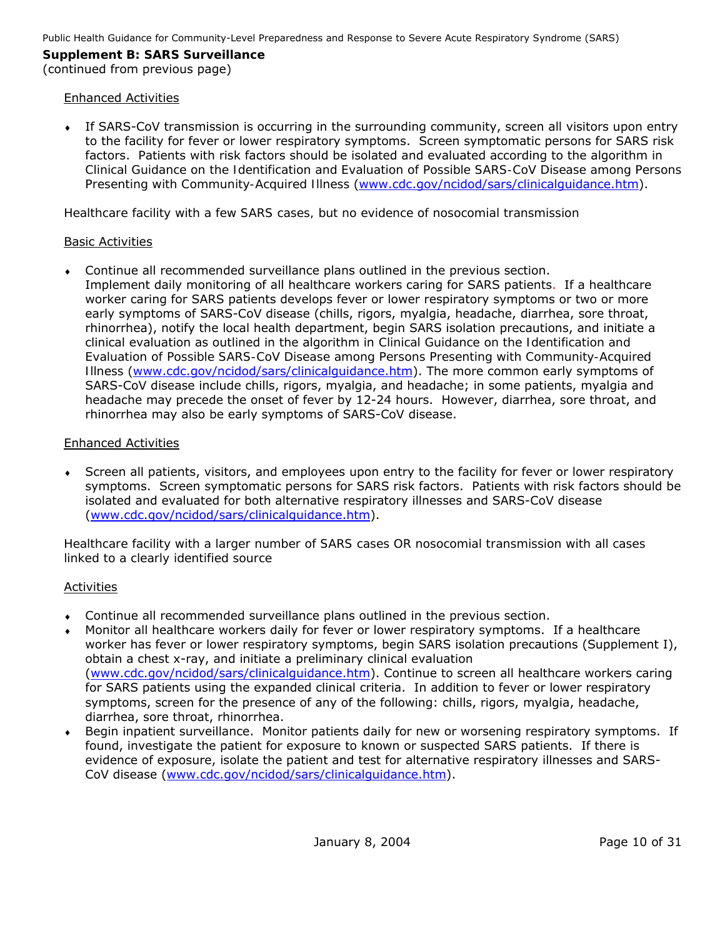#### **Supplement B: SARS Surveillance**  (continued from previous page)

# Enhanced Activities

♦ If SARS-CoV transmission is occurring in the surrounding community, screen all visitors upon entry to the facility for fever or lower respiratory symptoms. Screen symptomatic persons for SARS risk factors. Patients with risk factors should be isolated and evaluated according to the algorithm in *Clinical Guidance on the Identification and Evaluation of Possible SARS-CoV Disease among Persons Presenting with Community-Acquired Illness* [\(www.cdc.gov/ncidod/sars/clinicalguidance.htm\)](http://www.cdc.gov/ncidod/sars/clinicalguidance.htm).

*Healthcare facility with a few SARS cases, but no evidence of nosocomial transmission* 

# Basic Activities

♦ Continue all recommended surveillance plans outlined in the previous section. Implement daily monitoring of all healthcare workers caring for SARS patients. If a healthcare worker caring for SARS patients develops fever or lower respiratory symptoms or two or more early symptoms of SARS-CoV disease (chills, rigors, myalgia, headache, diarrhea, sore throat, rhinorrhea), notify the local health department, begin SARS isolation precautions, and initiate a clinical evaluation as outlined in the algorithm in *Clinical Guidance on the Identification and Evaluation of Possible SARS-CoV Disease among Persons Presenting with Community-Acquired Illness* [\(www.cdc.gov/ncidod/sars/clinicalguidance.htm\)](http://www.cdc.gov/ncidod/sars/clinicalguidance.htm). The more common early symptoms of SARS-CoV disease include chills, rigors, myalgia, and headache; in some patients, myalgia and headache may precede the onset of fever by 12-24 hours. However, diarrhea, sore throat, and rhinorrhea may also be early symptoms of SARS-CoV disease.

# Enhanced Activities

Screen all patients, visitors, and employees upon entry to the facility for fever or lower respiratory symptoms. Screen symptomatic persons for SARS risk factors. Patients with risk factors should be isolated and evaluated for both alternative respiratory illnesses and SARS-CoV disease ([www.cdc.gov/ncidod/sars/clinicalguidance.htm\)](http://www.cdc.gov/ncidod/sars/clinicalguidance.htm).

*Healthcare facility with a larger number of SARS cases OR nosocomial transmission with all cases linked to a clearly identified source* 

# Activities

- Continue all recommended surveillance plans outlined in the previous section.
- Monitor *all* healthcare workers daily for fever or lower respiratory symptoms. If a healthcare worker has fever or lower respiratory symptoms, begin SARS isolation precautions (Supplement I), obtain a chest x-ray, and initiate a preliminary clinical evaluation ([www.cdc.gov/ncidod/sars/clinicalguidance.htm\)](http://www.cdc.gov/ncidod/sars/clinicalguidance.htm). Continue to screen all healthcare workers caring for SARS patients using the expanded clinical criteria. In addition to fever or lower respiratory symptoms, screen for the presence of any of the following: chills, rigors, myalgia, headache, diarrhea, sore throat, rhinorrhea.
- ♦ Begin inpatient surveillance. Monitor patients daily for new or worsening respiratory symptoms. If found, investigate the patient for exposure to known or suspected SARS patients. If there is evidence of exposure, isolate the patient and test for alternative respiratory illnesses and SARS-CoV disease ([www.cdc.gov/ncidod/sars/clinicalguidance.htm\)](http://www.cdc.gov/ncidod/sars/clinicalguidance.htm).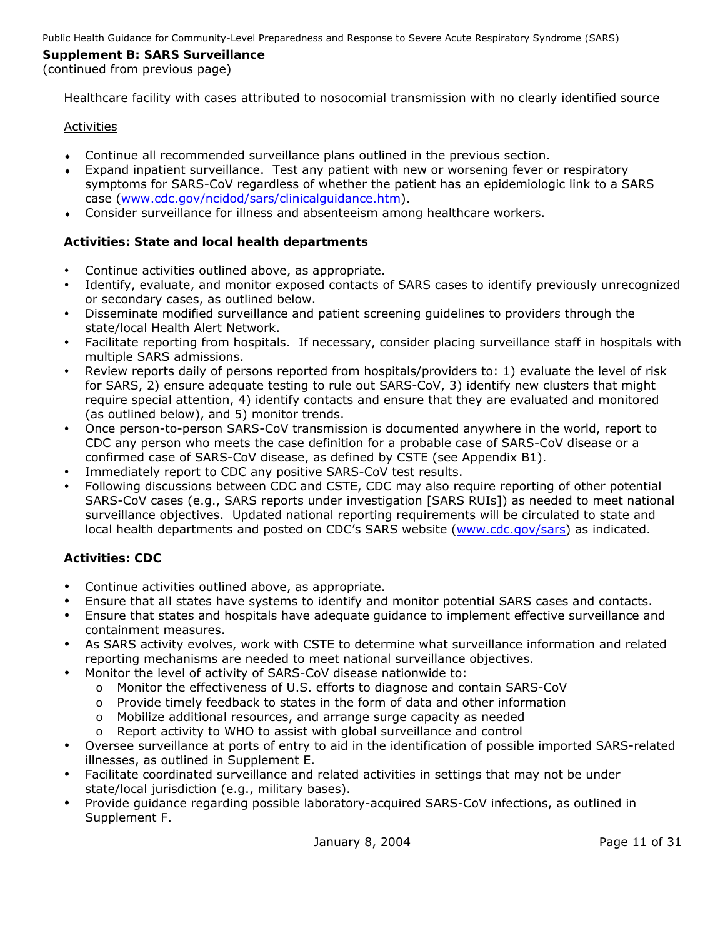### (continued from previous page)

*Healthcare facility with cases attributed to nosocomial transmission with no clearly identified source* 

### Activities

- Continue all recommended surveillance plans outlined in the previous section.
- Expand inpatient surveillance. Test any patient with new or worsening fever or respiratory symptoms for SARS-CoV regardless of whether the patient has an epidemiologic link to a SARS case [\(www.cdc.gov/ncidod/sars/clinicalguidance.htm\)](http://www.cdc.gov/ncidod/sars/clinicalguidance.htm).
- ♦ Consider surveillance for illness and absenteeism among healthcare workers.

### **Activities: State and local health departments**

- Continue activities outlined above, as appropriate.
- Identify, evaluate, and monitor exposed contacts of SARS cases to identify previously unrecognized or secondary cases, as outlined below.
- Disseminate modified surveillance and patient screening guidelines to providers through the state/local Health Alert Network.
- Facilitate reporting from hospitals. If necessary, consider placing surveillance staff in hospitals with multiple SARS admissions.
- Review reports daily of persons reported from hospitals/providers to: 1) evaluate the level of risk for SARS, 2) ensure adequate testing to rule out SARS-CoV, 3) identify new clusters that might require special attention, 4) identify contacts and ensure that they are evaluated and monitored (as outlined below), and 5) monitor trends.
- Once person-to-person SARS-CoV transmission is documented anywhere in the world, report to CDC any person who meets the case definition for a probable case of SARS-CoV disease or a confirmed case of SARS-CoV disease, as defined by CSTE (see Appendix B1).
- Immediately report to CDC any positive SARS-CoV test results.
- Following discussions between CDC and CSTE, CDC may also require reporting of other potential SARS-CoV cases (e.g., SARS reports under investigation [SARS RUIs]) as needed to meet national surveillance objectives. Updated national reporting requirements will be circulated to state and local health departments and posted on CDC's SARS website ([www.cdc.gov/sars\)](http://www.cdc.gov/sars) as indicated.

# **Activities: CDC**

- Continue activities outlined above, as appropriate.
- Ensure that all states have systems to identify and monitor potential SARS cases and contacts.
- Ensure that states and hospitals have adequate guidance to implement effective surveillance and containment measures.
- As SARS activity evolves, work with CSTE to determine what surveillance information and related reporting mechanisms are needed to meet national surveillance objectives.
- Monitor the level of activity of SARS-CoV disease nationwide to:
	- o Monitor the effectiveness of U.S. efforts to diagnose and contain SARS-CoV
	- o Provide timely feedback to states in the form of data and other information
	- o Mobilize additional resources, and arrange surge capacity as needed
	- o Report activity to WHO to assist with global surveillance and control
- Oversee surveillance at ports of entry to aid in the identification of possible imported SARS-related illnesses, as outlined in Supplement E.
- Facilitate coordinated surveillance and related activities in settings that may not be under state/local jurisdiction (e.g., military bases).
- Provide guidance regarding possible laboratory-acquired SARS-CoV infections, as outlined in Supplement F.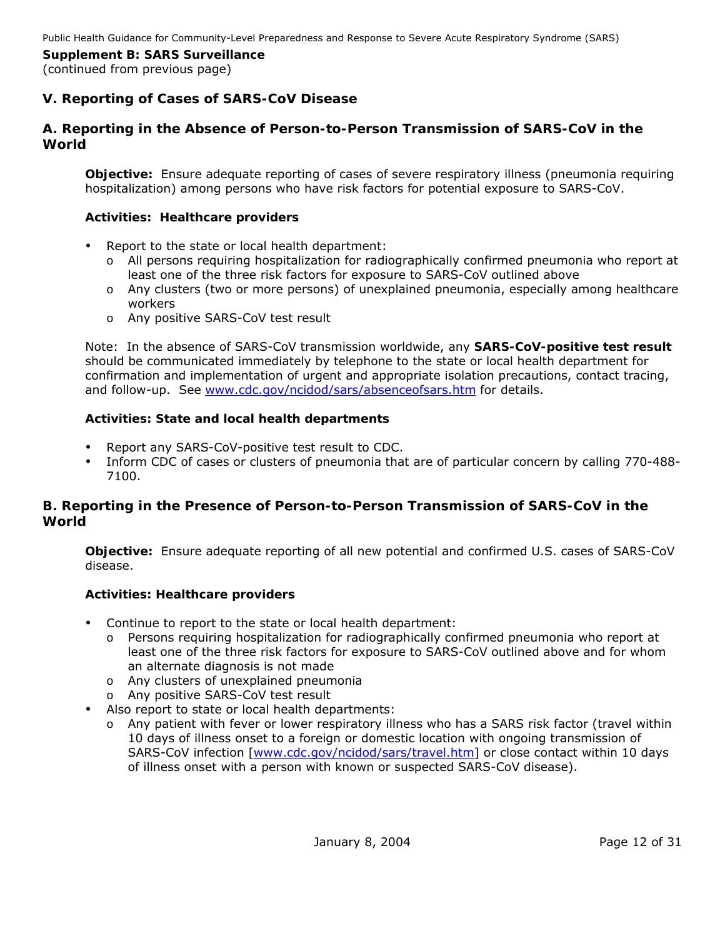# **V. Reporting of Cases of SARS-CoV Disease**

### *A. Reporting in the Absence of Person-to-Person Transmission of SARS-CoV in the World*

**Objective:** Ensure adequate reporting of cases of severe respiratory illness (pneumonia requiring hospitalization) among persons who have risk factors for potential exposure to SARS-CoV.

#### **Activities: Healthcare providers**

- Report to the state or local health department:
	- o All persons requiring hospitalization for radiographically confirmed pneumonia who report at least one of the three risk factors for exposure to SARS-CoV outlined above
	- o Any clusters (two or more persons) of unexplained pneumonia, especially among healthcare workers
	- o Any positive SARS-CoV test result

Note: In the absence of SARS-CoV transmission worldwide, any **SARS-CoV-positive test result** should be communicated immediately by telephone to the state or local health department for confirmation and implementation of urgent and appropriate isolation precautions, contact tracing, and follow-up. See [www.cdc.gov/ncidod/sars/absenceofsars.htm](http://www.cdc.gov/ncidod/sars/absenceofsars.htm) for details.

### **Activities: State and local health departments**

- Report any SARS-CoV-positive test result to CDC.
- Inform CDC of cases or clusters of pneumonia that are of particular concern by calling 770-488-7100.

# *B. Reporting in the Presence of Person-to-Person Transmission of SARS-CoV in the World*

**Objective:** Ensure adequate reporting of all new potential and confirmed U.S. cases of SARS-CoV disease.

#### **Activities: Healthcare providers**

- Continue to report to the state or local health department:
	- o Persons requiring hospitalization for radiographically confirmed pneumonia who report at least one of the three risk factors for exposure to SARS-CoV outlined above and for whom an alternate diagnosis is not made
	- o Any clusters of unexplained pneumonia
	- o Any positive SARS-CoV test result
- Also report to state or local health departments:
	- o Any patient with fever or lower respiratory illness who has a SARS risk factor (travel within 10 days of illness onset to a foreign or domestic location with ongoing transmission of SARS-CoV infection [\[www.cdc.gov/ncidod/sars/travel.htm\]](http://www.cdc.gov/ncidod/sars/travel.htm) or close contact within 10 days of illness onset with a person with known or suspected SARS-CoV disease).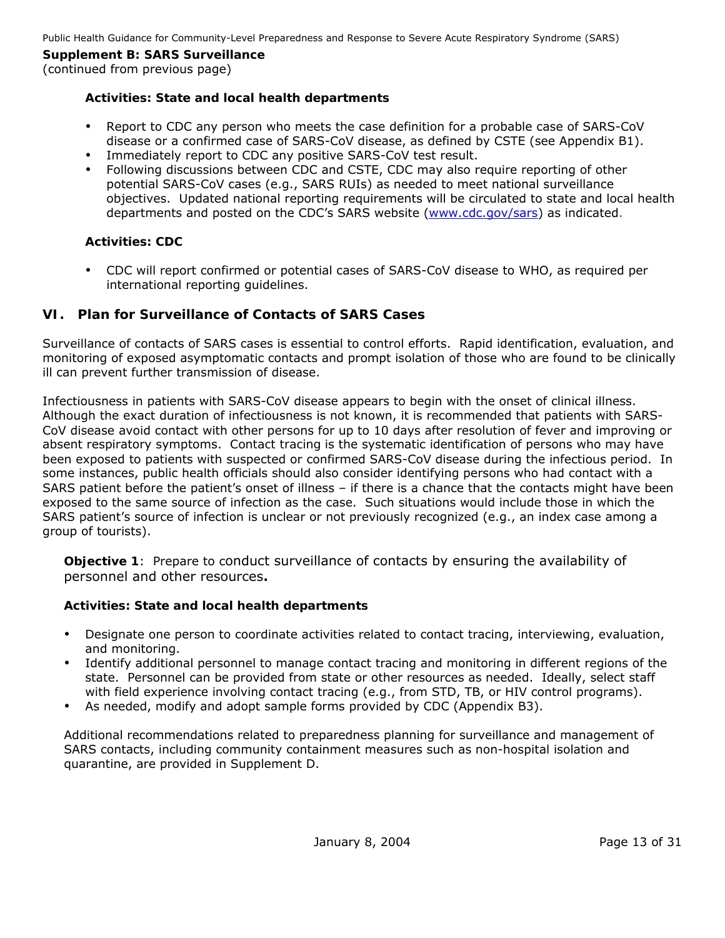(continued from previous page)

### **Activities: State and local health departments**

- Report to CDC any person who meets the case definition for a probable case of SARS-CoV disease or a confirmed case of SARS-CoV disease, as defined by CSTE (see Appendix B1).
- Immediately report to CDC any positive SARS-CoV test result.
- Following discussions between CDC and CSTE, CDC may also require reporting of other potential SARS-CoV cases (e.g., SARS RUIs) as needed to meet national surveillance objectives. Updated national reporting requirements will be circulated to state and local health departments and posted on the CDC's SARS website (www.cdc.gov/sars) as indicated.

### **Activities: CDC**

• CDC will report confirmed or potential cases of SARS-CoV disease to WHO, as required per international reporting guidelines.

# **VI. Plan for Surveillance of Contacts of SARS Cases**

Surveillance of contacts of SARS cases is essential to control efforts. Rapid identification, evaluation, and monitoring of exposed asymptomatic contacts and prompt isolation of those who are found to be clinically ill can prevent further transmission of disease.

Infectiousness in patients with SARS-CoV disease appears to begin with the onset of clinical illness. Although the exact duration of infectiousness is not known, it is recommended that patients with SARS-CoV disease avoid contact with other persons for up to 10 days after resolution of fever and improving or absent respiratory symptoms. *Contact tracing* is the systematic identification of persons who may have been exposed to patients with suspected or confirmed SARS-CoV disease during the infectious period. In some instances, public health officials should also consider identifying persons who had contact with a SARS patient *before* the patient's onset of illness – if there is a chance that the contacts might have been exposed to the same source of infection as the case. Such situations would include those in which the SARS patient's source of infection is unclear or not previously recognized (e.g., an index case among a group of tourists).

**Objective 1**:Prepare to conduct surveillance of contacts by ensuring the availability of personnel and other resources**.** 

# **Activities: State and local health departments**

- Designate one person to coordinate activities related to contact tracing, interviewing, evaluation, and monitoring.
- Identify additional personnel to manage contact tracing and monitoring in different regions of the state. Personnel can be provided from state or other resources as needed. Ideally, select staff with field experience involving contact tracing (e.g., from STD, TB, or HIV control programs).
- As needed, modify and adopt sample forms provided by CDC (Appendix B3).

Additional recommendations related to preparedness planning for surveillance and management of SARS contacts, including community containment measures such as non-hospital isolation and quarantine, are provided in Supplement D.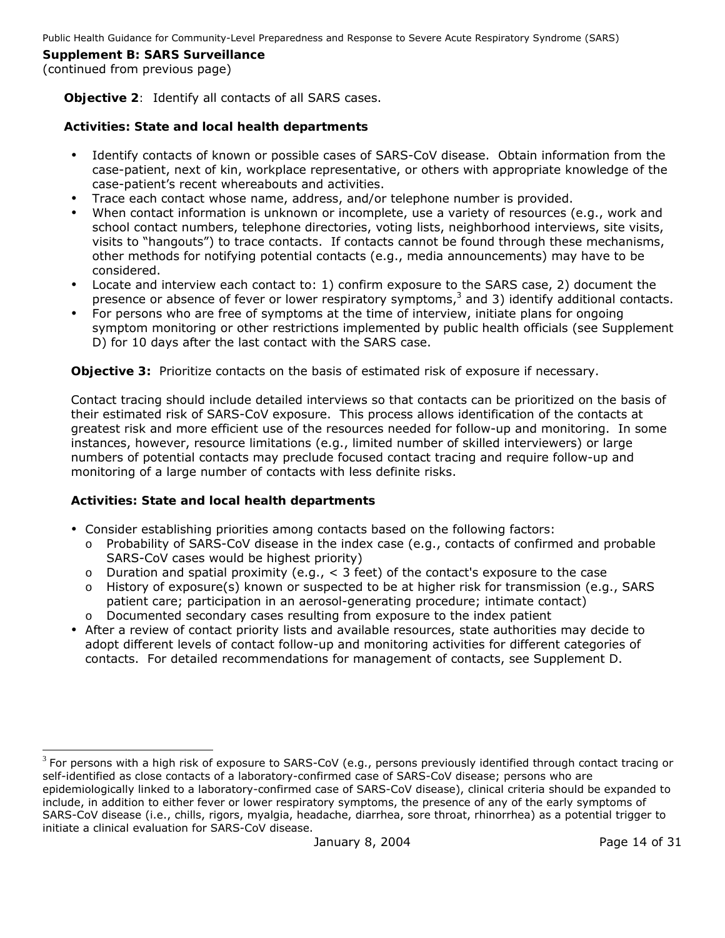(continued from previous page)

**Objective 2***:* Identify all contacts of all SARS cases.

### **Activities: State and local health departments**

- Identify contacts of known or possible cases of SARS-CoV disease. Obtain information from the case-patient, next of kin, workplace representative, or others with appropriate knowledge of the case-patient's recent whereabouts and activities.
- Trace each contact whose name, address, and/or telephone number is provided.
- When contact information is unknown or incomplete, use a variety of resources (e.g., work and school contact numbers, telephone directories, voting lists, neighborhood interviews, site visits, visits to "hangouts") to trace contacts. If contacts cannot be found through these mechanisms, other methods for notifying potential contacts (e.g., media announcements) may have to be considered.
- Locate and interview each contact to: 1) confirm exposure to the SARS case, 2) document the presence or absence of fever or lower respiratory symptoms,<sup>[3](#page-13-0)</sup> and 3) identify additional contacts.
- For persons who are free of symptoms at the time of interview, initiate plans for ongoing symptom monitoring or other restrictions implemented by public health officials (see Supplement D) for 10 days after the last contact with the SARS case.

**Objective 3:** Prioritize contacts on the basis of estimated risk of exposure if necessary.

Contact tracing should include detailed interviews so that contacts can be prioritized on the basis of their estimated risk of SARS-CoV exposure. This process allows identification of the contacts at greatest risk and more efficient use of the resources needed for follow-up and monitoring. In some instances, however, resource limitations (e.g., limited number of skilled interviewers) or large numbers of potential contacts may preclude focused contact tracing and require follow-up and monitoring of a large number of contacts with less definite risks.

# **Activities: State and local health departments**

-

- Consider establishing priorities among contacts based on the following factors:
	- o Probability of SARS-CoV disease in the index case (e.g., contacts of confirmed and probable SARS-CoV cases would be highest priority)
	- o Duration and spatial proximity (e.g., < 3 feet) of the contact's exposure to the case
	- o History of exposure(s) known or suspected to be at higher risk for transmission (e.g., SARS patient care; participation in an aerosol-generating procedure; intimate contact)
	- o Documented secondary cases resulting from exposure to the index patient
- After a review of contact priority lists and available resources, state authorities may decide to adopt different levels of contact follow-up and monitoring activities for different categories of contacts. For detailed recommendations for management of contacts, see Supplement D.

<span id="page-13-0"></span> $3$  For persons with a high risk of exposure to SARS-CoV (e.g., persons previously identified through contact tracing or self-identified as close contacts of a laboratory-confirmed case of SARS-CoV disease; persons who are epidemiologically linked to a laboratory-confirmed case of SARS-CoV disease), clinical criteria should be expanded to include, in addition to either fever or lower respiratory symptoms, the presence of any of the early symptoms of

January 8, 2004 **Page 14 of 31** SARS-CoV disease (i.e., chills, rigors, myalgia, headache, diarrhea, sore throat, rhinorrhea) as a potential trigger to initiate a clinical evaluation for SARS-CoV disease.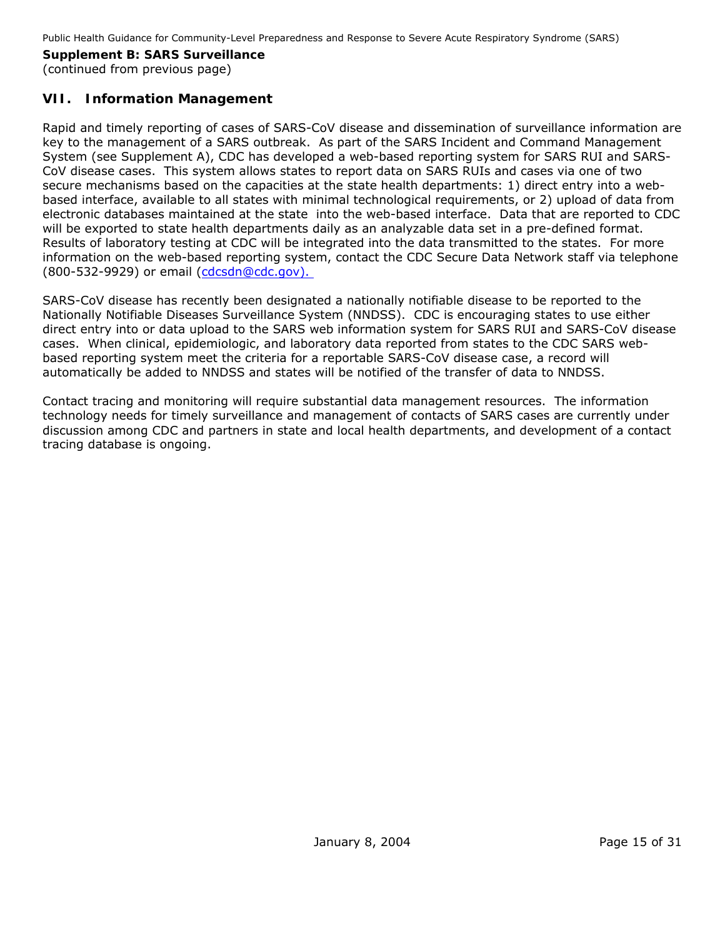# **VII. Information Management**

Rapid and timely reporting of cases of SARS-CoV disease and dissemination of surveillance information are key to the management of a SARS outbreak. As part of the SARS Incident and Command Management System (see Supplement A), CDC has developed a web-based reporting system for SARS RUI and SARS-CoV disease cases. This system allows states to report data on SARS RUIs and cases via one of two secure mechanisms based on the capacities at the state health departments: 1) direct entry into a webbased interface, available to all states with minimal technological requirements, or 2) upload of data from electronic databases maintained at the state into the web-based interface. Data that are reported to CDC will be exported to state health departments daily as an analyzable data set in a pre-defined format. Results of laboratory testing at CDC will be integrated into the data transmitted to the states. For more information on the web-based reporting system, contact the CDC Secure Data Network staff via telephone (800-532-9929) or email [\(cdcsdn@cdc.gov](mailto:cdcsdn@cdc.gov)).

SARS-CoV disease has recently been designated a nationally notifiable disease to be reported to the Nationally Notifiable Diseases Surveillance System (NNDSS). CDC is encouraging states to use either direct entry into or data upload to the SARS web information system for SARS RUI and SARS-CoV disease cases. When clinical, epidemiologic, and laboratory data reported from states to the CDC SARS webbased reporting system meet the criteria for a reportable SARS-CoV disease case, a record will automatically be added to NNDSS and states will be notified of the transfer of data to NNDSS.

Contact tracing and monitoring will require substantial data management resources. The information technology needs for timely surveillance and management of contacts of SARS cases are currently under discussion among CDC and partners in state and local health departments, and development of a contact tracing database is ongoing.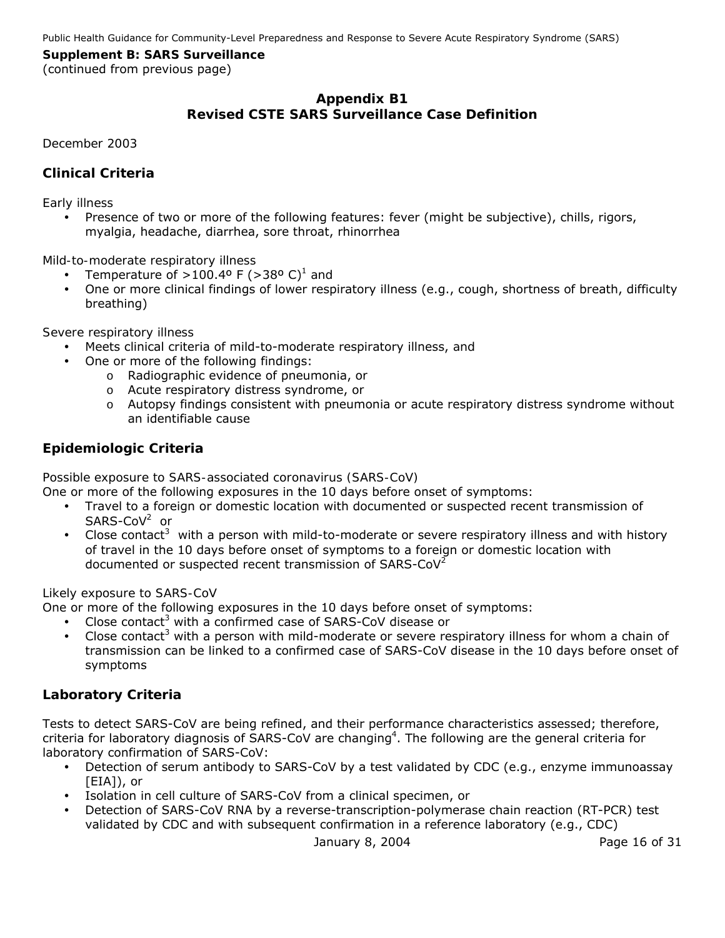(continued from previous page)

# **Appendix B1 Revised CSTE SARS Surveillance Case Definition**

*December 2003* 

# *Clinical Criteria*

#### *Early illness*

• Presence of two or more of the following features: fever (might be subjective), chills, rigors, myalgia, headache, diarrhea, sore throat, rhinorrhea

#### *Mild-to-moderate respiratory illness*

- Temperature of  $>100.4^{\circ}$  F ( $>38^{\circ}$  C)<sup>1</sup> and
- One or more clinical findings of lower respiratory illness (e.g., cough, shortness of breath, difficulty breathing)

#### *Severe respiratory illness*

- y Meets clinical criteria of mild-to-moderate respiratory illness, *and*
- One or more of the following findings:
	- o Radiographic evidence of pneumonia, *or*
	- o Acute respiratory distress syndrome, *or*
	- o Autopsy findings consistent with pneumonia or acute respiratory distress syndrome without an identifiable cause

# *Epidemiologic Criteria*

#### *Possible exposure to SARS-associated coronavirus (SARS-CoV)*

One or more of the following exposures in the 10 days before onset of symptoms:

- Travel to a foreign or domestic location with documented or suspected recent transmission of SARS-CoV<sup>2</sup> or
- Close contact<sup>3</sup> with a person with mild-to-moderate or severe respiratory illness and with history of travel in the 10 days before onset of symptoms to a foreign or domestic location with documented or suspected recent transmission of SARS-CoV<sup>2</sup>

#### *Likely exposure to SARS-CoV*

One or more of the following exposures in the 10 days before onset of symptoms:

- Close contact<sup>3</sup> with a confirmed case of SARS-CoV disease or
- Close contact<sup>3</sup> with a person with mild-moderate or severe respiratory illness for whom a chain of transmission can be linked to a confirmed case of SARS-CoV disease in the 10 days before onset of symptoms

# *Laboratory Criteria*

Tests to detect SARS-CoV are being refined, and their performance characteristics assessed; therefore, criteria for laboratory diagnosis of SARS-CoV are changing<sup>4</sup>. The following are the general criteria for laboratory confirmation of SARS-CoV:

- Detection of serum antibody to SARS-CoV by a test validated by CDC (e.g., enzyme immunoassay [EIA]), *or*
- y Isolation in cell culture of SARS-CoV from a clinical specimen, *or*
- Detection of SARS-CoV RNA by a reverse-transcription-polymerase chain reaction (RT-PCR) test validated by CDC and with subsequent confirmation in a reference laboratory (e.g., CDC)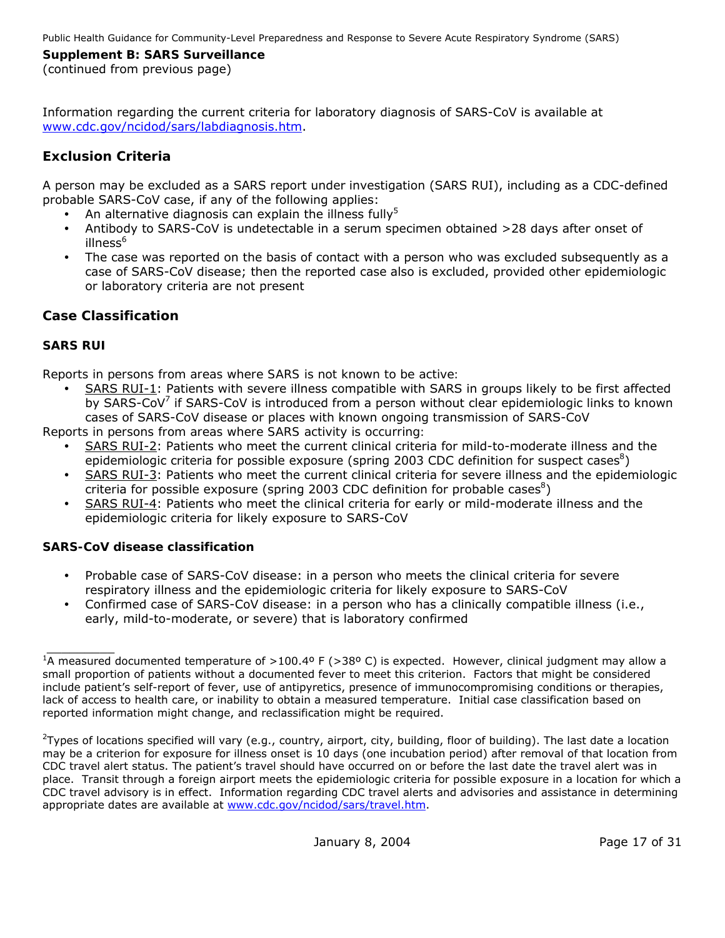(continued from previous page)

Information regarding the current criteria for laboratory diagnosis of SARS-CoV is available at [www.cdc.gov/ncidod/sars/labdiagnosis.htm](http://www.cdc.gov/ncidod/sars/labdiagnosis.htm).

# *Exclusion Criteria*

A person may be excluded as a SARS report under investigation (SARS RUI), including as a CDC-defined probable SARS-CoV case, if any of the following applies:

- An alternative diagnosis can explain the illness fully<sup>5</sup>
- Antibody to SARS-CoV is undetectable in a serum specimen obtained >28 days after onset of illness<sup>6</sup>
- The case was reported on the basis of contact with a person who was excluded subsequently as a case of SARS-CoV disease; then the reported case also is excluded, provided other epidemiologic or laboratory criteria are not present

# *Case Classification*

# **SARS RUI**

*Reports in persons from areas where SARS is not known to be active:* 

SARS RUI-1: Patients with severe illness compatible with SARS in groups likely to be first affected by SARS-CoV<sup>7</sup> if SARS-CoV is introduced from a person without clear epidemiologic links to known cases of SARS-CoV disease or places with known ongoing transmission of SARS-CoV

*Reports in persons from areas where SARS activity is occurring:* 

- SARS RUI-2: Patients who meet the current clinical criteria for mild-to-moderate illness and the epidemiologic criteria for possible exposure (spring 2003 CDC definition for suspect cases ${}^{8}$ )
- SARS RUI-3: Patients who meet the current clinical criteria for severe illness and the epidemiologic criteria for possible exposure (spring 2003 CDC definition for probable cases ${}^{8}$ )
- SARS RUI-4: Patients who meet the clinical criteria for early or mild-moderate illness and the epidemiologic criteria for likely exposure to SARS-CoV

# **SARS-CoV disease classification**

- Probable case of SARS-CoV disease: in a person who meets the clinical criteria for severe respiratory illness and the epidemiologic criteria for likely exposure to SARS-CoV
- Confirmed case of SARS-CoV disease: in a person who has a clinically compatible illness (i.e., early, mild-to-moderate, or severe) that is laboratory confirmed

 $\frac{1}{2}$ <sup>1</sup>A measured documented temperature of >100.4º F (>38º C) is expected. However, clinical judgment may allow a small proportion of patients without a documented fever to meet this criterion. Factors that might be considered include patient's self-report of fever, use of antipyretics, presence of immunocompromising conditions or therapies, lack of access to health care, or inability to obtain a measured temperature. Initial case classification based on reported information might change, and reclassification might be required.

<sup>&</sup>lt;sup>2</sup>Types of locations specified will vary (e.g., country, airport, city, building, floor of building). The last date a location may be a criterion for exposure for illness onset is 10 days (one incubation period) after removal of that location from CDC travel alert status. The patient's travel should have occurred on or before the last date the travel alert was in place. Transit through a foreign airport meets the epidemiologic criteria for possible exposure in a location for which a CDC travel advisory is in effect. Information regarding CDC travel alerts and advisories and assistance in determining appropriate dates are available at [www.cdc.gov/ncidod/sars/travel.htm.](http://www.cdc.gov/ncidod/sars/travel.htm)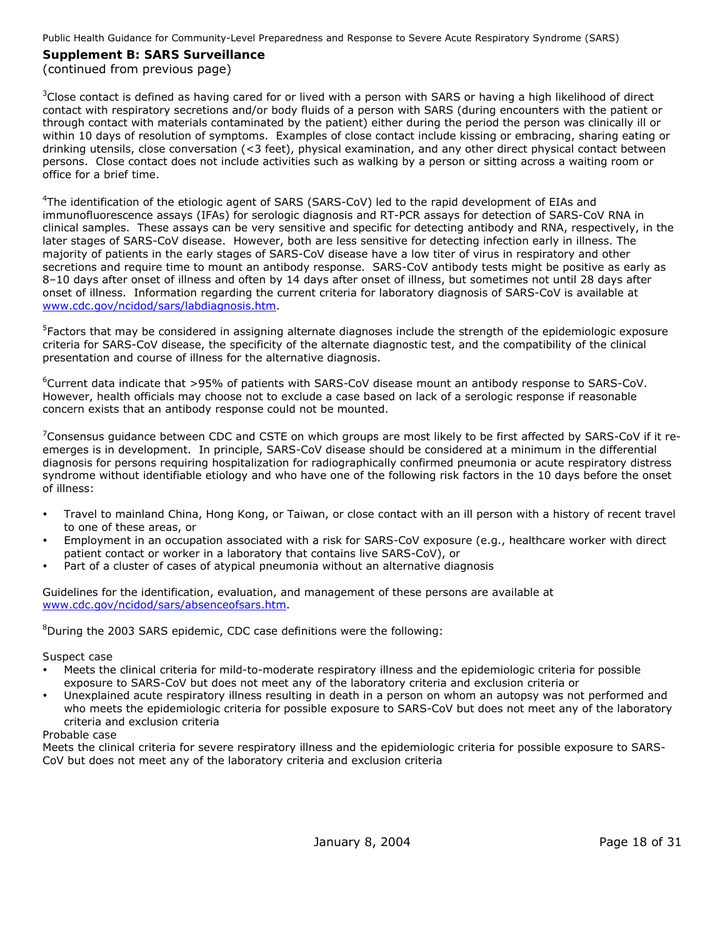#### **Supplement B: SARS Surveillance**  (continued from previous page)

 $3$ Close contact is defined as having cared for or lived with a person with SARS or having a high likelihood of direct contact with respiratory secretions and/or body fluids of a person with SARS (during encounters with the patient or through contact with materials contaminated by the patient) either during the period the person was clinically ill or within 10 days of resolution of symptoms. Examples of close contact include kissing or embracing, sharing eating or drinking utensils, close conversation (<3 feet), physical examination, and any other direct physical contact between persons. Close contact does not include activities such as walking by a person or sitting across a waiting room or office for a brief time.

<sup>4</sup>The identification of the etiologic agent of SARS (SARS-CoV) led to the rapid development of EIAs and immunofluorescence assays (IFAs) for serologic diagnosis and RT-PCR assays for detection of SARS-CoV RNA in clinical samples. These assays can be very sensitive and specific for detecting antibody and RNA, respectively, in the later stages of SARS-CoV disease. However, both are less sensitive for detecting infection early in illness. The majority of patients in the early stages of SARS-CoV disease have a low titer of virus in respiratory and other secretions and require time to mount an antibody response. SARS-CoV antibody tests might be positive as early as 8–10 days after onset of illness and often by 14 days after onset of illness, but sometimes not until 28 days after onset of illness. Information regarding the current criteria for laboratory diagnosis of SARS-CoV is available at [www.cdc.gov/ncidod/sars/labdiagnosis.htm](http://www.cdc.gov/ncidod/sars/labdiagnosis.htm).

<sup>5</sup>Factors that may be considered in assigning alternate diagnoses include the strength of the epidemiologic exposure criteria for SARS-CoV disease, the specificity of the alternate diagnostic test, and the compatibility of the clinical presentation and course of illness for the alternative diagnosis.

6 Current data indicate that >95% of patients with SARS-CoV disease mount an antibody response to SARS-CoV. However, health officials may choose not to exclude a case based on lack of a serologic response if reasonable concern exists that an antibody response could not be mounted.

 $^7$ Consensus guidance between CDC and CSTE on which groups are most likely to be first affected by SARS-CoV if it reemerges is in development. In principle, SARS-CoV disease should be considered at a minimum in the differential diagnosis for persons requiring hospitalization for radiographically confirmed pneumonia or acute respiratory distress syndrome without identifiable etiology and who have one of the following risk factors in the 10 days before the onset of illness:

- Travel to mainland China, Hong Kong, or Taiwan, or close contact with an ill person with a history of recent travel to one of these areas, *or*
- Employment in an occupation associated with a risk for SARS-CoV exposure (e.g., healthcare worker with direct patient contact or worker in a laboratory that contains live SARS-CoV), *or*
- Part of a cluster of cases of atypical pneumonia without an alternative diagnosis

Guidelines for the identification, evaluation, and management of these persons are available at [www.cdc.gov/ncidod/sars/absenceofsars.htm.](http://www.cdc.gov/ncidod/sars/absenceofsars.htm)

 ${}^{8}$ During the 2003 SARS epidemic, CDC case definitions were the following:

#### *Suspect case*

- Meets the clinical criteria for mild-to-moderate respiratory illness and the epidemiologic criteria for possible exposure to SARS-CoV but does not meet any of the laboratory criteria and exclusion criteria *or*
- Unexplained acute respiratory illness resulting in death in a person on whom an autopsy was not performed and who meets the epidemiologic criteria for possible exposure to SARS-CoV but does not meet any of the laboratory criteria and exclusion criteria

#### *Probable case*

Meets the clinical criteria for severe respiratory illness and the epidemiologic criteria for possible exposure to SARS-CoV but does not meet any of the laboratory criteria and exclusion criteria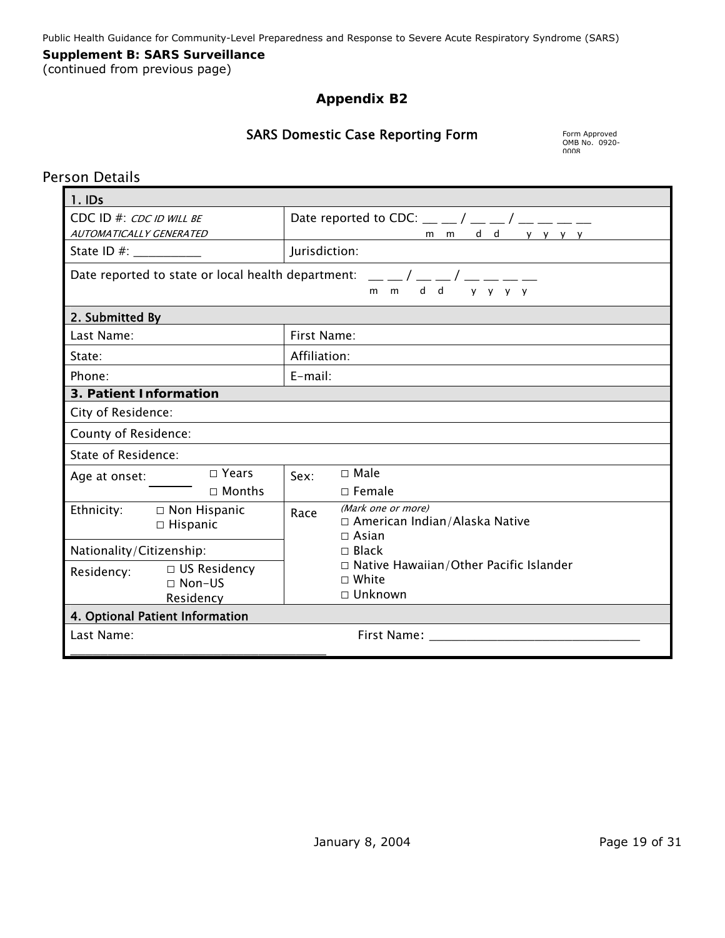# **Supplement B: SARS Surveillance**

(continued from previous page)

# **Appendix B2**

# SARS Domestic Case Reporting Form

OMB No. 0920- 0008

# Person Details

| 1.1DS                                                           |                                                                                                     |  |  |  |  |
|-----------------------------------------------------------------|-----------------------------------------------------------------------------------------------------|--|--|--|--|
| $CDC$ ID #: $CDC$ ID WILL BE                                    | Date reported to CDC: $\_\_/\_\_$ / $\_\_$ / $\_\_$ $\_\_$                                          |  |  |  |  |
| AUTOMATICALLY GENERATED                                         | mmdd yyyy                                                                                           |  |  |  |  |
|                                                                 | Jurisdiction:                                                                                       |  |  |  |  |
|                                                                 | Date reported to state or local health department: $\mu = \mu / \mu = \mu / \mu = \mu$<br>mmdd yyyy |  |  |  |  |
| 2. Submitted By                                                 |                                                                                                     |  |  |  |  |
| Last Name:                                                      | First Name:                                                                                         |  |  |  |  |
| State:                                                          | Affiliation:                                                                                        |  |  |  |  |
| Phone:                                                          | $E$ -mail:                                                                                          |  |  |  |  |
| 3. Patient Information                                          |                                                                                                     |  |  |  |  |
| City of Residence:                                              |                                                                                                     |  |  |  |  |
| County of Residence:                                            |                                                                                                     |  |  |  |  |
| State of Residence:                                             |                                                                                                     |  |  |  |  |
| $\Box$ Years<br>Age at onset:                                   | $\Box$ Male<br>Sex:                                                                                 |  |  |  |  |
| $\Box$ Months                                                   | $\Box$ Female                                                                                       |  |  |  |  |
| Ethnicity: $\Box$ Non Hispanic<br>$\Box$ Hispanic               | (Mark one or more)<br>Race<br>$\Box$ American Indian/Alaska Native<br>$\Box$ Asian                  |  |  |  |  |
| Nationality/Citizenship:                                        | $\Box$ Black                                                                                        |  |  |  |  |
| $\Box$ US Residency<br>Residency:<br>$\Box$ Non-US<br>Residency | $\Box$ Native Hawaiian/Other Pacific Islander<br>$\Box$ White<br>$\Box$ Unknown                     |  |  |  |  |
| 4. Optional Patient Information                                 |                                                                                                     |  |  |  |  |
| Last Name:                                                      |                                                                                                     |  |  |  |  |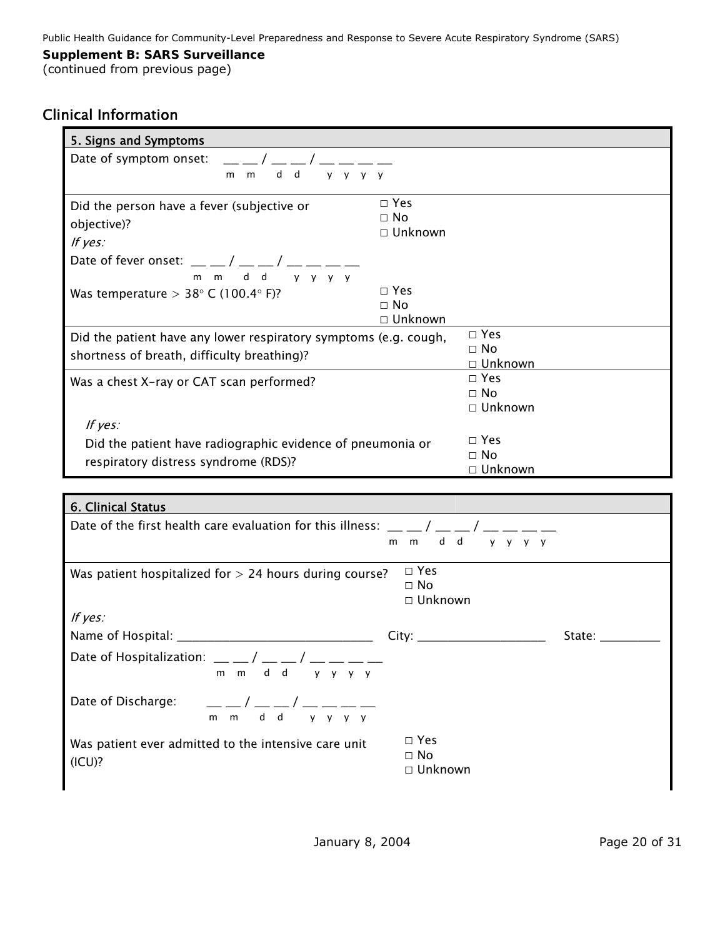#### **Supplement B: SARS Surveillance**

(continued from previous page)

# Clinical Information

| 5. Signs and Symptoms                                                                                                                                                                                                                                                                                                                                                                                                     |               |                            |        |
|---------------------------------------------------------------------------------------------------------------------------------------------------------------------------------------------------------------------------------------------------------------------------------------------------------------------------------------------------------------------------------------------------------------------------|---------------|----------------------------|--------|
| Date of symptom onset:                                                                                                                                                                                                                                                                                                                                                                                                    |               |                            |        |
| $d$ d<br>$y$ $y$ $y$ $y$<br>m<br>m                                                                                                                                                                                                                                                                                                                                                                                        |               |                            |        |
| Did the person have a fever (subjective or                                                                                                                                                                                                                                                                                                                                                                                | $\square$ Yes |                            |        |
|                                                                                                                                                                                                                                                                                                                                                                                                                           | $\Box$ No     |                            |        |
| objective)?                                                                                                                                                                                                                                                                                                                                                                                                               | □ Unknown     |                            |        |
| If yes:                                                                                                                                                                                                                                                                                                                                                                                                                   |               |                            |        |
| m m d d v v v v                                                                                                                                                                                                                                                                                                                                                                                                           |               |                            |        |
| Was temperature > $38^{\circ}$ C (100.4 $^{\circ}$ F)?                                                                                                                                                                                                                                                                                                                                                                    | $\Box$ Yes    |                            |        |
|                                                                                                                                                                                                                                                                                                                                                                                                                           | $\Box$ No     |                            |        |
|                                                                                                                                                                                                                                                                                                                                                                                                                           | □ Unknown     |                            |        |
| Did the patient have any lower respiratory symptoms (e.g. cough,                                                                                                                                                                                                                                                                                                                                                          |               | $\square$ Yes<br>$\Box$ No |        |
| shortness of breath, difficulty breathing)?                                                                                                                                                                                                                                                                                                                                                                               |               | □ Unknown                  |        |
| Was a chest X-ray or CAT scan performed?                                                                                                                                                                                                                                                                                                                                                                                  |               | $\square$ Yes              |        |
|                                                                                                                                                                                                                                                                                                                                                                                                                           |               | $\Box$ No                  |        |
|                                                                                                                                                                                                                                                                                                                                                                                                                           |               | $\Box$ Unknown             |        |
| If yes:                                                                                                                                                                                                                                                                                                                                                                                                                   |               |                            |        |
| Did the patient have radiographic evidence of pneumonia or                                                                                                                                                                                                                                                                                                                                                                |               | $\square$ Yes<br>$\Box$ No |        |
| respiratory distress syndrome (RDS)?                                                                                                                                                                                                                                                                                                                                                                                      |               | □ Unknown                  |        |
|                                                                                                                                                                                                                                                                                                                                                                                                                           |               |                            |        |
| 6. Clinical Status                                                                                                                                                                                                                                                                                                                                                                                                        |               |                            |        |
| Date of the first health care evaluation for this illness: $\frac{1}{2}$                                                                                                                                                                                                                                                                                                                                                  |               |                            |        |
|                                                                                                                                                                                                                                                                                                                                                                                                                           |               | mmdd yyyy                  |        |
| Was patient hospitalized for $> 24$ hours during course?                                                                                                                                                                                                                                                                                                                                                                  | $\square$ Yes |                            |        |
|                                                                                                                                                                                                                                                                                                                                                                                                                           | $\Box$ No     |                            |        |
|                                                                                                                                                                                                                                                                                                                                                                                                                           | □ Unknown     |                            |        |
| If yes:                                                                                                                                                                                                                                                                                                                                                                                                                   |               |                            |        |
|                                                                                                                                                                                                                                                                                                                                                                                                                           | City:         |                            | State: |
| Date of Hospitalization: $\frac{1}{2}$ $\frac{1}{2}$ $\frac{1}{2}$ $\frac{1}{2}$ $\frac{1}{2}$<br>d<br>d<br>m m<br>y y y y                                                                                                                                                                                                                                                                                                |               |                            |        |
|                                                                                                                                                                                                                                                                                                                                                                                                                           |               |                            |        |
| Date of Discharge:<br>$\frac{1}{m} - \frac{1}{m} - \frac{1}{d} - \frac{1}{d} - \frac{1}{d} - \frac{1}{d} - \frac{1}{d} - \frac{1}{d} - \frac{1}{d} - \frac{1}{d} - \frac{1}{d} - \frac{1}{d} - \frac{1}{d} - \frac{1}{d} - \frac{1}{d} - \frac{1}{d} - \frac{1}{d} - \frac{1}{d} - \frac{1}{d} - \frac{1}{d} - \frac{1}{d} - \frac{1}{d} - \frac{1}{d} - \frac{1}{d} - \frac{1}{d} - \frac{1}{d} - \frac{1}{d} - \frac{1$ |               |                            |        |
|                                                                                                                                                                                                                                                                                                                                                                                                                           | $\square$ Yes |                            |        |
| Was patient ever admitted to the intensive care unit                                                                                                                                                                                                                                                                                                                                                                      | $\Box$ No     |                            |        |
| (ICU)?                                                                                                                                                                                                                                                                                                                                                                                                                    | □ Unknown     |                            |        |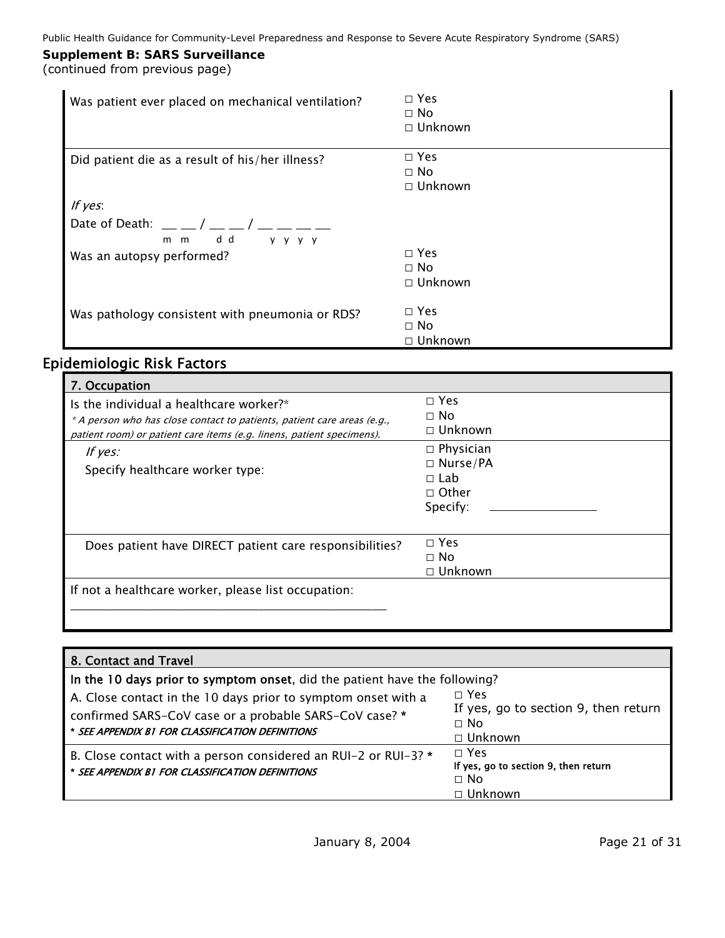(continued from previous page)

| Was patient ever placed on mechanical ventilation?     | $\Box$ Yes<br>$\Box$ No<br>$\Box$ Unknown    |
|--------------------------------------------------------|----------------------------------------------|
| Did patient die as a result of his/her illness?        | $\square$ Yes<br>$\Box$ No<br>$\Box$ Unknown |
| If $yes$ :                                             |                                              |
| Date of Death: $\_\_\_\_$<br>d d<br>$m$ $m$<br>y y y y |                                              |
| Was an autopsy performed?                              | $\Box$ Yes<br>$\Box$ No<br>$\Box$ Unknown    |
| Was pathology consistent with pneumonia or RDS?        | $\square$ Yes<br>$\Box$ No<br>$\Box$ Unknown |

# Epidemiologic Risk Factors

| 7. Occupation<br>Is the individual a healthcare worker?*<br>* A person who has close contact to patients, patient care areas (e.g.,<br>patient room) or patient care items (e.g. linens, patient specimens). | $\Box$ Yes<br>$\Box$ No<br>$\Box$ Unknown                                     |
|--------------------------------------------------------------------------------------------------------------------------------------------------------------------------------------------------------------|-------------------------------------------------------------------------------|
| If $yes:$<br>Specify healthcare worker type:                                                                                                                                                                 | $\Box$ Physician<br>$\Box$ Nurse/PA<br>$\Box$ Lab<br>$\Box$ Other<br>Specify: |
| Does patient have DIRECT patient care responsibilities?                                                                                                                                                      | $\Box$ Yes<br>$\Box$ No<br>$\Box$ Unknown                                     |
| If not a healthcare worker, please list occupation:                                                                                                                                                          |                                                                               |

| 8. Contact and Travel                                                                                                                                                                                                                                     |                                                                                   |
|-----------------------------------------------------------------------------------------------------------------------------------------------------------------------------------------------------------------------------------------------------------|-----------------------------------------------------------------------------------|
| In the 10 days prior to symptom onset, did the patient have the following?<br>A. Close contact in the 10 days prior to symptom onset with a<br>confirmed SARS-CoV case or a probable SARS-CoV case? *<br>* SEE APPENDIX B1 FOR CLASSIFICATION DEFINITIONS | $\Box$ Yes<br>If yes, go to section 9, then return<br>$\Box$ No<br>$\Box$ Unknown |
| B. Close contact with a person considered an RUI-2 or RUI-3? *<br>* SEE APPENDIX B1 FOR CLASSIFICATION DEFINITIONS                                                                                                                                        | $\Box$ Yes<br>If yes, go to section 9, then return<br>$\Box$ No<br>$\Box$ Unknown |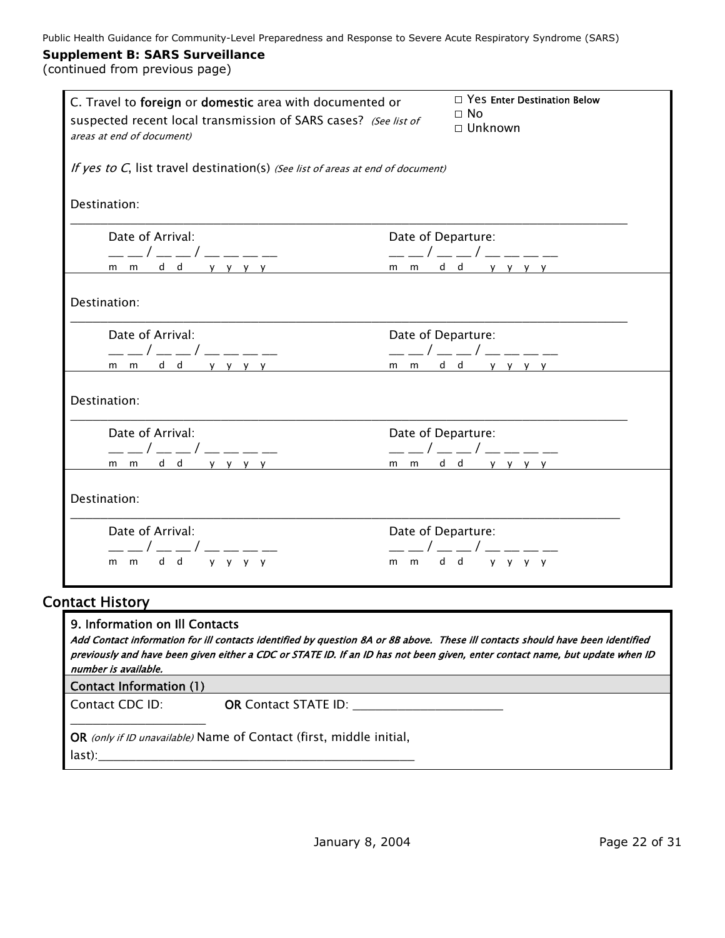| C. Travel to foreign or domestic area with documented or<br>suspected recent local transmission of SARS cases? (See list of<br>areas at end of document) | $\Box$ Yes Enter Destination Below<br>$\Box$ No<br>$\Box$ Unknown                                                                                                                                                                                                                                                                                                                                                   |  |  |
|----------------------------------------------------------------------------------------------------------------------------------------------------------|---------------------------------------------------------------------------------------------------------------------------------------------------------------------------------------------------------------------------------------------------------------------------------------------------------------------------------------------------------------------------------------------------------------------|--|--|
| If yes to C, list travel destination(s) (See list of areas at end of document)                                                                           |                                                                                                                                                                                                                                                                                                                                                                                                                     |  |  |
| Destination:                                                                                                                                             |                                                                                                                                                                                                                                                                                                                                                                                                                     |  |  |
| Date of Arrival:                                                                                                                                         | Date of Departure:                                                                                                                                                                                                                                                                                                                                                                                                  |  |  |
|                                                                                                                                                          | Date of Afrival.<br>$\frac{1}{m} - \frac{1}{m} - \frac{1}{m} - \frac{1}{m} - \frac{1}{m} - \frac{1}{m} - \frac{1}{m} - \frac{1}{m} - \frac{1}{m} - \frac{1}{m} - \frac{1}{m} - \frac{1}{m} - \frac{1}{m} - \frac{1}{m} - \frac{1}{m} - \frac{1}{m} - \frac{1}{m} - \frac{1}{m} - \frac{1}{m} - \frac{1}{m} - \frac{1}{m} - \frac{1}{m} - \frac{1}{m} - \frac{1}{m} - \frac{1}{m} - \frac$                           |  |  |
| Destination:                                                                                                                                             |                                                                                                                                                                                                                                                                                                                                                                                                                     |  |  |
| Date of Arrival:                                                                                                                                         | Date of Departure:<br>$\frac{1}{m-m} \frac{1}{d} \frac{1}{d} \frac{1}{y} \frac{1}{y} \frac{1}{y} \frac{1}{y} \frac{1}{y} \frac{1}{y} \frac{1}{x} \frac{1}{x} \frac{1}{x} \frac{1}{y} \frac{1}{y} \frac{1}{y} \frac{1}{y} \frac{1}{y} \frac{1}{y} \frac{1}{y} \frac{1}{y} \frac{1}{y} \frac{1}{y} \frac{1}{y} \frac{1}{y} \frac{1}{y} \frac{1}{y} \frac{1}{y} \frac{1}{y} \frac{1}{y} \frac{1}{y} \frac{1}{y} \frac$ |  |  |
|                                                                                                                                                          |                                                                                                                                                                                                                                                                                                                                                                                                                     |  |  |
| Destination:                                                                                                                                             |                                                                                                                                                                                                                                                                                                                                                                                                                     |  |  |
| Date of Arrival:<br>$--/--/---$                                                                                                                          | Date of Departure:<br>$---/---/------$                                                                                                                                                                                                                                                                                                                                                                              |  |  |
|                                                                                                                                                          |                                                                                                                                                                                                                                                                                                                                                                                                                     |  |  |
| Destination:                                                                                                                                             |                                                                                                                                                                                                                                                                                                                                                                                                                     |  |  |
| Date of Arrival:<br>——/——/————                                                                                                                           | Date of Departure:<br>$---/---/------$                                                                                                                                                                                                                                                                                                                                                                              |  |  |
| m m d d y y y y                                                                                                                                          | mmdd yyyy                                                                                                                                                                                                                                                                                                                                                                                                           |  |  |
| <b>Contact History</b>                                                                                                                                   |                                                                                                                                                                                                                                                                                                                                                                                                                     |  |  |
| 9. Information on Ill Contacts<br>number is available.                                                                                                   | Add Contact information for ill contacts identified by question 8A or 8B above. These ill contacts should have been identified<br>previously and have been given either a CDC or STATE ID. If an ID has not been given, enter contact name, but update when ID                                                                                                                                                      |  |  |
| <b>Contact Information (1)</b>                                                                                                                           |                                                                                                                                                                                                                                                                                                                                                                                                                     |  |  |
| Contact CDC ID:                                                                                                                                          |                                                                                                                                                                                                                                                                                                                                                                                                                     |  |  |
| OR (only if ID unavailable) Name of Contact (first, middle initial,                                                                                      |                                                                                                                                                                                                                                                                                                                                                                                                                     |  |  |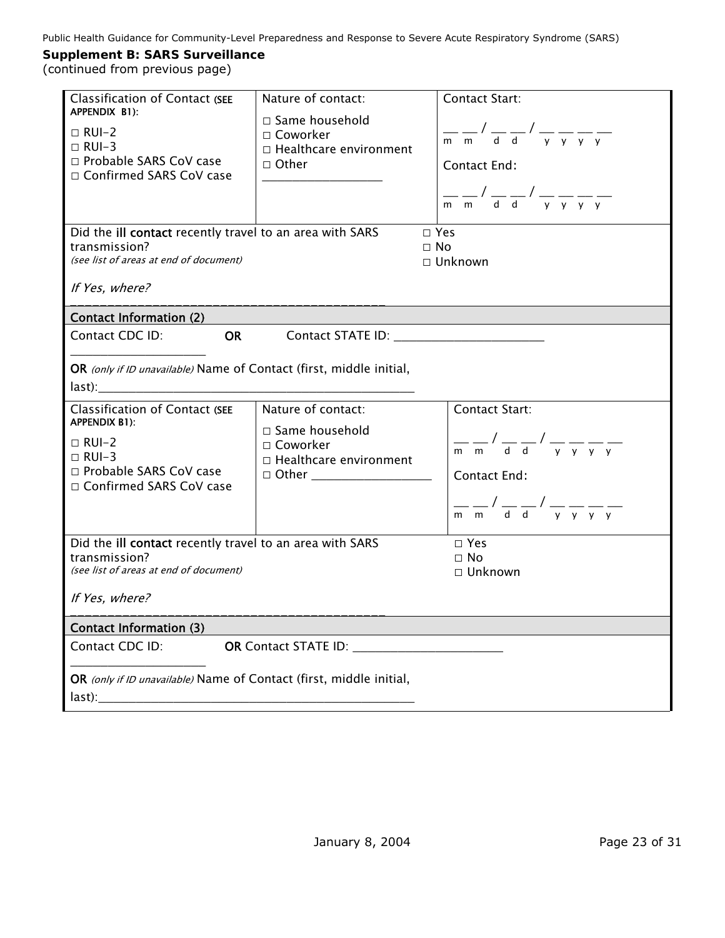| Classification of Contact (SEE<br>APPENDIX B1):<br>$\Box$ RUI-2<br>$\Box$ RUI-3<br>□ Probable SARS CoV case<br>□ Confirmed SARS CoV case                                                                                  | Nature of contact:<br>$\Box$ Same household<br>$\Box$ Coworker<br>□ Healthcare environment<br>$\Box$ Other              | <b>Contact Start:</b><br>$\frac{1}{\sqrt{m}}$ $\frac{1}{\sqrt{m}}$ $\frac{1}{\sqrt{m}}$ $\frac{1}{\sqrt{m}}$ $\frac{1}{\sqrt{m}}$ $\frac{1}{\sqrt{m}}$ $\frac{1}{\sqrt{m}}$ $\frac{1}{\sqrt{m}}$ $\frac{1}{\sqrt{m}}$ $\frac{1}{\sqrt{m}}$ $\frac{1}{\sqrt{m}}$ $\frac{1}{\sqrt{m}}$ $\frac{1}{\sqrt{m}}$ $\frac{1}{\sqrt{m}}$ $\frac{1}{\sqrt{m}}$ $\frac{1}{\sqrt{m}}$ $\frac{1}{\sqrt{m}}$<br><b>Contact End:</b><br>$\frac{1}{\sqrt{m}}$ $\frac{1}{\sqrt{m}}$ $\frac{1}{\sqrt{m}}$ $\frac{1}{\sqrt{m}}$ $\frac{1}{\sqrt{m}}$ $\frac{1}{\sqrt{m}}$ $\frac{1}{\sqrt{m}}$ $\frac{1}{\sqrt{m}}$ $\frac{1}{\sqrt{m}}$ $\frac{1}{\sqrt{m}}$ $\frac{1}{\sqrt{m}}$ $\frac{1}{\sqrt{m}}$ $\frac{1}{\sqrt{m}}$ $\frac{1}{\sqrt{m}}$ $\frac{1}{\sqrt{m}}$ $\frac{1}{\sqrt{m}}$ $\frac{1}{\sqrt{m}}$                                                                                                    |  |
|---------------------------------------------------------------------------------------------------------------------------------------------------------------------------------------------------------------------------|-------------------------------------------------------------------------------------------------------------------------|-------------------------------------------------------------------------------------------------------------------------------------------------------------------------------------------------------------------------------------------------------------------------------------------------------------------------------------------------------------------------------------------------------------------------------------------------------------------------------------------------------------------------------------------------------------------------------------------------------------------------------------------------------------------------------------------------------------------------------------------------------------------------------------------------------------------------------------------------------------------------------------------------|--|
| Did the ill contact recently travel to an area with SARS<br>transmission?<br>(see list of areas at end of document)<br>If Yes, where?                                                                                     |                                                                                                                         | $\Box$ Yes<br>$\Box$ No<br>$\Box$ Unknown                                                                                                                                                                                                                                                                                                                                                                                                                                                                                                                                                                                                                                                                                                                                                                                                                                                       |  |
| <b>Contact Information (2)</b>                                                                                                                                                                                            |                                                                                                                         |                                                                                                                                                                                                                                                                                                                                                                                                                                                                                                                                                                                                                                                                                                                                                                                                                                                                                                 |  |
| <b>OR</b><br>Contact CDC ID:                                                                                                                                                                                              |                                                                                                                         |                                                                                                                                                                                                                                                                                                                                                                                                                                                                                                                                                                                                                                                                                                                                                                                                                                                                                                 |  |
| OR (only if ID unavailable) Name of Contact (first, middle initial,<br>last):<br>Classification of Contact (SEE<br>APPENDIX B1):<br>$\Box$ RUI-2<br>$\Box$ RUI-3<br>□ Probable SARS CoV case<br>□ Confirmed SARS CoV case | Nature of contact:<br>$\Box$ Same household<br>□ Coworker<br>□ Healthcare environment<br>□ Other ______________________ | <b>Contact Start:</b><br>$\frac{1}{\mathsf{m}}\frac{\mathsf{m}}{\mathsf{m}}\frac{\mathsf{m}}{\mathsf{d}}\frac{\mathsf{d}}{\mathsf{d}}\frac{\mathsf{d}}{\mathsf{d}}\frac{\mathsf{d}}{\mathsf{v}}\frac{\mathsf{d}}{\mathsf{v}}\frac{\mathsf{d}}{\mathsf{v}}\frac{\mathsf{d}}{\mathsf{v}}\frac{\mathsf{d}}{\mathsf{v}}\frac{\mathsf{d}}{\mathsf{v}}\frac{\mathsf{d}}{\mathsf{v}}\frac{\mathsf{d}}{\mathsf{v}}\frac{\mathsf{d}}{\mathsf{v}}\frac{\mathsf{d}}{\mathsf{v}}\frac{\mathsf{d}}{\mathsf{v$<br><b>Contact End:</b><br>$\frac{1}{\sqrt{m}}$ $\frac{1}{\sqrt{m}}$ $\frac{1}{\sqrt{m}}$ $\frac{1}{\sqrt{m}}$ $\frac{1}{\sqrt{m}}$ $\frac{1}{\sqrt{m}}$ $\frac{1}{\sqrt{m}}$ $\frac{1}{\sqrt{m}}$ $\frac{1}{\sqrt{m}}$ $\frac{1}{\sqrt{m}}$ $\frac{1}{\sqrt{m}}$ $\frac{1}{\sqrt{m}}$ $\frac{1}{\sqrt{m}}$ $\frac{1}{\sqrt{m}}$ $\frac{1}{\sqrt{m}}$ $\frac{1}{\sqrt{m}}$ $\frac{1}{\sqrt{m}}$ |  |
|                                                                                                                                                                                                                           |                                                                                                                         |                                                                                                                                                                                                                                                                                                                                                                                                                                                                                                                                                                                                                                                                                                                                                                                                                                                                                                 |  |
| Did the ill contact recently travel to an area with SARS<br>transmission?<br>(see list of areas at end of document)<br>If Yes, where?                                                                                     |                                                                                                                         | $\Box$ Yes<br>□ No<br>$\Box$ Unknown                                                                                                                                                                                                                                                                                                                                                                                                                                                                                                                                                                                                                                                                                                                                                                                                                                                            |  |
| <b>Contact Information (3)</b>                                                                                                                                                                                            |                                                                                                                         |                                                                                                                                                                                                                                                                                                                                                                                                                                                                                                                                                                                                                                                                                                                                                                                                                                                                                                 |  |
| Contact CDC ID:                                                                                                                                                                                                           | OR Contact STATE ID: New York Contact STATE ID:                                                                         |                                                                                                                                                                                                                                                                                                                                                                                                                                                                                                                                                                                                                                                                                                                                                                                                                                                                                                 |  |
| OR (only if ID unavailable) Name of Contact (first, middle initial,                                                                                                                                                       |                                                                                                                         |                                                                                                                                                                                                                                                                                                                                                                                                                                                                                                                                                                                                                                                                                                                                                                                                                                                                                                 |  |
|                                                                                                                                                                                                                           |                                                                                                                         |                                                                                                                                                                                                                                                                                                                                                                                                                                                                                                                                                                                                                                                                                                                                                                                                                                                                                                 |  |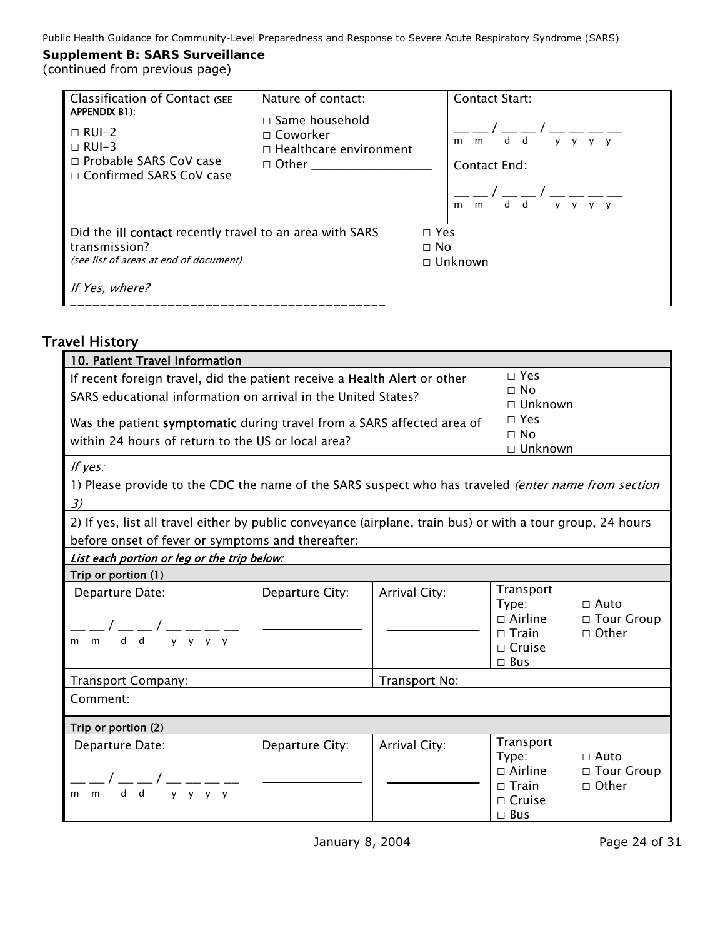| Classification of Contact (SEE<br>APPENDIX B1):                                                                            | Nature of contact:                                                                               | <b>Contact Start:</b>                                                       |
|----------------------------------------------------------------------------------------------------------------------------|--------------------------------------------------------------------------------------------------|-----------------------------------------------------------------------------|
| $\Box$ RUI-2<br>$\Box$ RUI-3<br>□ Probable SARS CoV case<br>□ Confirmed SARS CoV case                                      | $\Box$ Same household<br>$\Box$ Coworker<br>$\Box$ Healthcare environment<br>$\Box$ Other $\Box$ | d d<br>m<br>$V$ $V$<br>m<br>v v<br>Contact End:<br>d d<br>m<br>V V V V<br>m |
| Did the <b>ill contact</b> recently travel to an area with SARS<br>transmission?<br>(see list of areas at end of document) |                                                                                                  | $\Box$ Yes<br>$\Box$ No<br>$\Box$ Unknown                                   |
| If Yes, where?                                                                                                             |                                                                                                  |                                                                             |

# Travel History

| 10. Patient Travel Information                                                                              |                 |               |                                             |                             |
|-------------------------------------------------------------------------------------------------------------|-----------------|---------------|---------------------------------------------|-----------------------------|
| If recent foreign travel, did the patient receive a Health Alert or other                                   |                 |               | $\Box$ Yes<br>$\Box$ No                     |                             |
| SARS educational information on arrival in the United States?                                               |                 |               | $\Box$ Unknown                              |                             |
| Was the patient symptomatic during travel from a SARS affected area of                                      |                 |               | $\Box$ Yes                                  |                             |
| within 24 hours of return to the US or local area?                                                          |                 |               | $\Box$ No<br>□ Unknown                      |                             |
| If yes:                                                                                                     |                 |               |                                             |                             |
| 1) Please provide to the CDC the name of the SARS suspect who has traveled (enter name from section         |                 |               |                                             |                             |
| 3)                                                                                                          |                 |               |                                             |                             |
| 2) If yes, list all travel either by public conveyance (airplane, train bus) or with a tour group, 24 hours |                 |               |                                             |                             |
| before onset of fever or symptoms and thereafter:                                                           |                 |               |                                             |                             |
| List each portion or leg or the trip below:                                                                 |                 |               |                                             |                             |
| Trip or portion (1)                                                                                         |                 |               |                                             |                             |
| Departure Date:                                                                                             | Departure City: | Arrival City: | Transport<br>Type:<br>$\Box$ Airline        | $\Box$ Auto<br>□ Tour Group |
| $-\frac{1}{m}$ dd y y y y                                                                                   |                 |               | $\Box$ Train<br>$\Box$ Cruise<br>$\Box$ Bus | $\Box$ Other                |
| Transport Company:                                                                                          |                 | Transport No: |                                             |                             |
| Comment:                                                                                                    |                 |               |                                             |                             |
| Trip or portion (2)                                                                                         |                 |               |                                             |                             |
| Departure Date:                                                                                             | Departure City: | Arrival City: | Transport<br>Type:                          | $\Box$ Auto                 |
|                                                                                                             |                 |               | $\Box$ Airline                              | □ Tour Group                |
| $\frac{1}{\gamma}$ $\frac{1}{\gamma}$ $\frac{1}{\gamma}$ $\frac{1}{\gamma}$<br>$d$ $d$<br>m<br>m            |                 |               | $\Box$ Train                                | $\Box$ Other                |
|                                                                                                             |                 |               | $\Box$ Cruise<br>$\square$ Bus              |                             |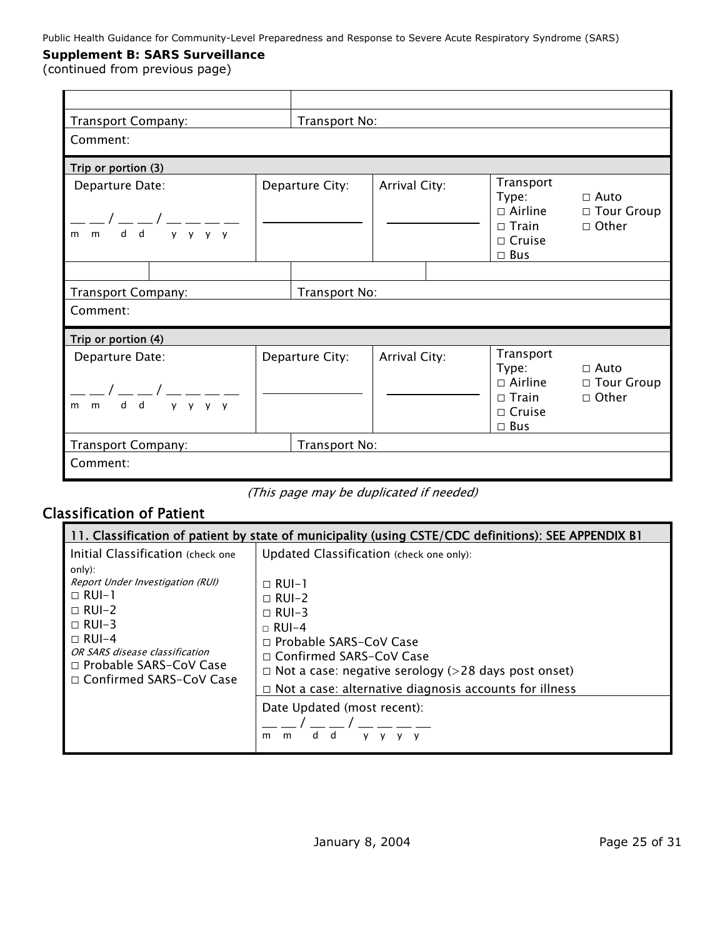(continued from previous page)

| Transport Company:                                                           |                 | Transport No: |                                                                                        |                                             |
|------------------------------------------------------------------------------|-----------------|---------------|----------------------------------------------------------------------------------------|---------------------------------------------|
| Comment:                                                                     |                 |               |                                                                                        |                                             |
| Trip or portion (3)                                                          |                 |               |                                                                                        |                                             |
| Departure Date:<br>$y \ y \ y \ y$<br>$d$ $d$<br>$m$ $m$                     | Departure City: | Arrival City: | Transport<br>Type:<br>$\Box$ Airline<br>$\Box$ Train<br>$\Box$ Cruise<br>$\square$ Bus | $\Box$ Auto<br>□ Tour Group<br>$\Box$ Other |
|                                                                              |                 |               |                                                                                        |                                             |
| Transport No:<br>Transport Company:                                          |                 |               |                                                                                        |                                             |
| Comment:                                                                     |                 |               |                                                                                        |                                             |
| Trip or portion (4)                                                          |                 |               |                                                                                        |                                             |
| Departure Date:<br>$y \quad y \quad y$<br>$d$ $d$<br>$\mathsf{v}$<br>$m$ $m$ | Departure City: | Arrival City: | Transport<br>Type:<br>$\Box$ Airline<br>$\Box$ Train<br>$\Box$ Cruise<br>$\square$ Bus | $\Box$ Auto<br>□ Tour Group<br>□ Other      |
| Transport Company:                                                           | Transport No:   |               |                                                                                        |                                             |
| Comment:                                                                     |                 |               |                                                                                        |                                             |

(This page may be duplicated if needed)

# Classification of Patient

| 11. Classification of patient by state of municipality (using CSTE/CDC definitions): SEE APPENDIX B1                                                                                                                                        |                                                                                                                                                                                                                                                                                                                                                            |  |  |
|---------------------------------------------------------------------------------------------------------------------------------------------------------------------------------------------------------------------------------------------|------------------------------------------------------------------------------------------------------------------------------------------------------------------------------------------------------------------------------------------------------------------------------------------------------------------------------------------------------------|--|--|
| Initial Classification (check one)<br>only):<br>Report Under Investigation (RUI)<br>$\Box$ RUI-1<br>$\Box$ RUI-2<br>$\Box$ RUI-3<br>$\Box$ RUI-4<br>OR SARS disease classification<br>□ Probable SARS-CoV Case<br>□ Confirmed SARS-CoV Case | Updated Classification (check one only):<br>$\Box$ RUI-1<br>$\Box$ RUI-2<br>$\Box$ RUI-3<br>$\sqcap$ RUI-4<br>□ Probable SARS-CoV Case<br>$\Box$ Confirmed SARS-CoV Case<br>$\Box$ Not a case: negative serology (>28 days post onset)<br>$\Box$ Not a case: alternative diagnosis accounts for illness<br>Date Updated (most recent):<br>d<br>d<br>m<br>m |  |  |
|                                                                                                                                                                                                                                             |                                                                                                                                                                                                                                                                                                                                                            |  |  |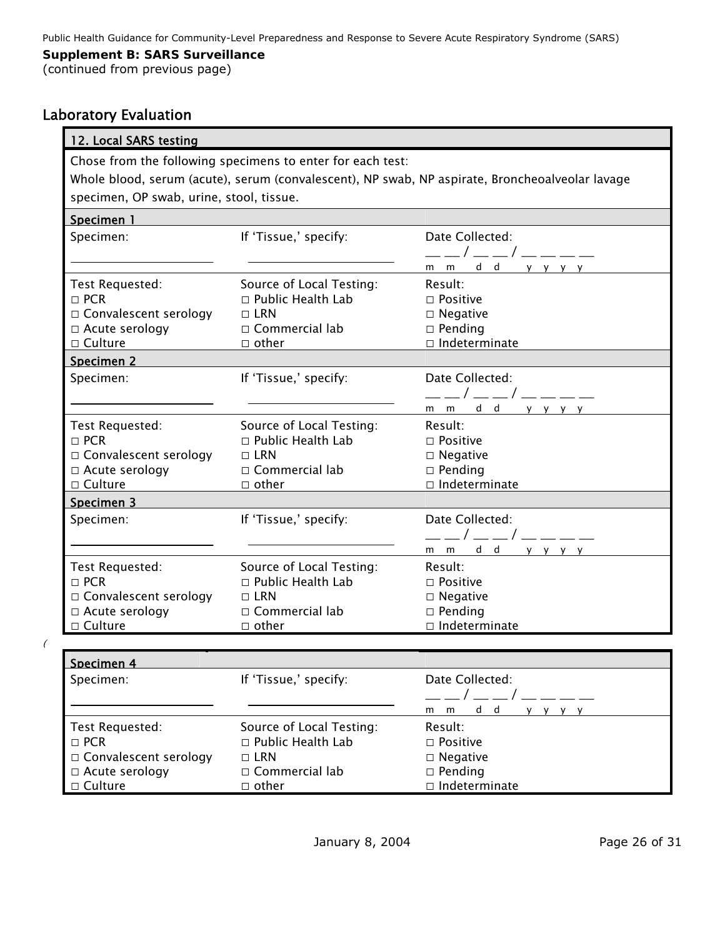(continued from previous page)

# Laboratory Evaluation

| 12. Local SARS testing                                                                          |                                                                                                             |                                                                                               |  |  |  |  |
|-------------------------------------------------------------------------------------------------|-------------------------------------------------------------------------------------------------------------|-----------------------------------------------------------------------------------------------|--|--|--|--|
| Chose from the following specimens to enter for each test:                                      |                                                                                                             |                                                                                               |  |  |  |  |
| Whole blood, serum (acute), serum (convalescent), NP swab, NP aspirate, Broncheoalveolar lavage |                                                                                                             |                                                                                               |  |  |  |  |
| specimen, OP swab, urine, stool, tissue.                                                        |                                                                                                             |                                                                                               |  |  |  |  |
| Specimen 1                                                                                      |                                                                                                             |                                                                                               |  |  |  |  |
| Specimen:                                                                                       | If 'Tissue,' specify:                                                                                       | Date Collected:<br>__/__/____<br>mmdd yyyy                                                    |  |  |  |  |
| Test Requested:<br>$\Box$ PCR<br>$\Box$ Convalescent serology<br>□ Acute serology               | Source of Local Testing:<br>$\Box$ Public Health Lab<br>$\Box$ LRN<br>$\Box$ Commercial lab<br>$\Box$ other | Result:<br>$\Box$ Positive<br>$\Box$ Negative<br>$\square$ Pending<br>$\Box$ Indeterminate    |  |  |  |  |
| Specimen 2                                                                                      |                                                                                                             |                                                                                               |  |  |  |  |
| Specimen:                                                                                       | If 'Tissue,' specify:                                                                                       | Date Collected:<br>__/__/____<br>mmdd yyyy                                                    |  |  |  |  |
| Test Requested:<br>$\Box$ PCR<br>□ Convalescent serology<br>□ Acute serology<br>$\Box$ Culture  | Source of Local Testing:<br>$\Box$ Public Health Lab<br>$\Box$ LRN<br>$\Box$ Commercial lab<br>$\Box$ other | Result:<br>$\Box$ Positive<br>$\square$ Negative<br>$\square$ Pending<br>$\Box$ Indeterminate |  |  |  |  |
| Specimen 3                                                                                      |                                                                                                             |                                                                                               |  |  |  |  |
| Specimen:                                                                                       | If 'Tissue,' specify:                                                                                       | Date Collected:<br>___/___/____<br>mmdd yyyy                                                  |  |  |  |  |
| Test Requested:<br>$\Box$ PCR<br>□ Convalescent serology<br>□ Acute serology<br>$\Box$ Culture  | Source of Local Testing:<br>$\Box$ Public Health Lab<br>$\Box$ LRN<br>$\Box$ Commercial lab<br>$\Box$ other | Result:<br>$\Box$ Positive<br>$\Box$ Negative<br>$\square$ Pending<br>□ Indeterminate         |  |  |  |  |
|                                                                                                 |                                                                                                             |                                                                                               |  |  |  |  |

 $\epsilon$ 

| Specimen 4            |                          |                      |
|-----------------------|--------------------------|----------------------|
| Specimen:             | If 'Tissue,' specify:    | Date Collected:      |
|                       |                          |                      |
|                       |                          | d d<br>m<br>m        |
| Test Requested:       | Source of Local Testing: | Result:              |
| $\Box$ PCR            | □ Public Health Lab      | $\Box$ Positive      |
| Convalescent serology | $\Box$ LRN               | $\Box$ Negative      |
| $\Box$ Acute serology | $\Box$ Commercial lab    | $\square$ Pending    |
| □ Culture             | $\Box$ other             | $\Box$ Indeterminate |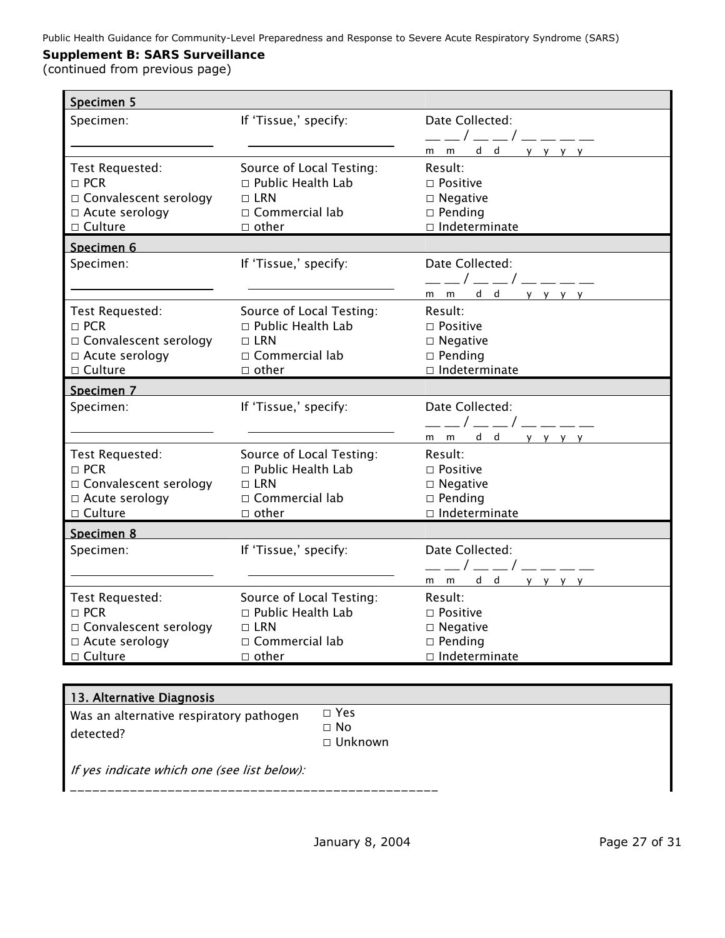(continued from previous page)

| Specimen 5              |                                                      |                         |
|-------------------------|------------------------------------------------------|-------------------------|
| Specimen:               | If 'Tissue,' specify:                                | Date Collected:         |
|                         |                                                      | __/__/___               |
|                         |                                                      | m m <u>d d y y y y</u>  |
| Test Requested:         | Source of Local Testing:                             | Result:                 |
| $\Box$ PCR              | $\Box$ Public Health Lab                             | $\Box$ Positive         |
| □ Convalescent serology | $\Box$ LRN                                           | $\Box$ Negative         |
| □ Acute serology        | $\Box$ Commercial lab                                | $\square$ Pending       |
| $\Box$ Culture          | $\Box$ other                                         | $\Box$ Indeterminate    |
| Specimen 6              |                                                      |                         |
| Specimen:               | If 'Tissue,' specify:                                | Date Collected:         |
|                         |                                                      | ——/——/————              |
|                         |                                                      | mmdd yyyy               |
| Test Requested:         | Source of Local Testing:                             | Result:                 |
| $\Box$ PCR              | □ Public Health Lab                                  | $\Box$ Positive         |
| □ Convalescent serology | $\Box$ LRN                                           | $\square$ Negative      |
| □ Acute serology        | $\Box$ Commercial lab                                | $\Box$ Pending          |
| $\Box$ Culture          | $\Box$ other                                         | $\Box$ Indeterminate    |
|                         |                                                      |                         |
| Specimen 7              |                                                      |                         |
| Specimen:               | If 'Tissue,' specify:                                | Date Collected:         |
|                         |                                                      | __/__/____              |
|                         |                                                      | mmdd yyyy               |
| Test Requested:         |                                                      | Result:                 |
| $\Box$ PCR              | Source of Local Testing:<br>$\Box$ Public Health Lab | $\Box$ Positive         |
| □ Convalescent serology | $\Box$ LRN                                           | $\Box$ Negative         |
| □ Acute serology        | $\Box$ Commercial lab                                | $\square$ Pending       |
| □ Culture               | $\Box$ other                                         | $\Box$ Indeterminate    |
| Specimen 8              |                                                      |                         |
| Specimen:               | If 'Tissue,' specify:                                | Date Collected:         |
|                         |                                                      |                         |
|                         |                                                      | __/__/____<br>mmdd yyyy |
| Test Requested:         | Source of Local Testing:                             | Result:                 |
| $\Box$ PCR              | $\Box$ Public Health Lab                             | $\Box$ Positive         |
| □ Convalescent serology | $\Box$ LRN                                           | $\square$ Negative      |
| □ Acute serology        | $\Box$ Commercial lab                                | $\Box$ Pending          |

#### 13. Alternative Diagnosis Was an alternative respiratory pathogen detected? □ Yes □ No □ Unknown If yes indicate which one (see list below):

*\_\_\_\_\_\_\_\_\_\_\_\_\_\_\_\_\_\_\_\_\_\_\_\_\_\_\_\_\_\_\_\_\_\_\_\_\_\_\_\_\_\_\_\_\_\_\_\_\_*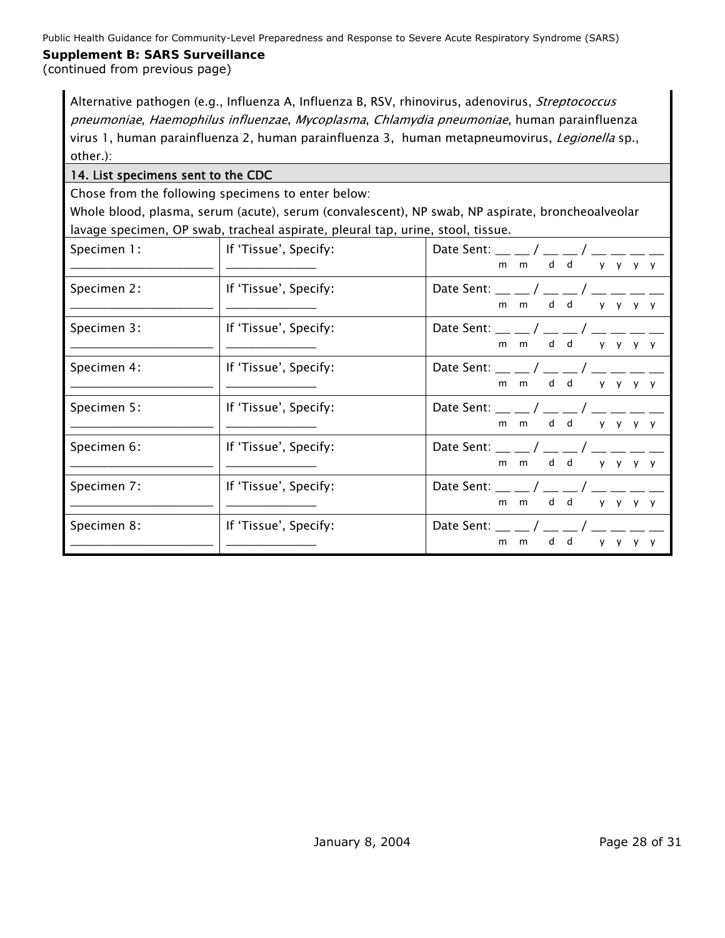(continued from previous page)

Alternative pathogen (e.g., Influenza A, Influenza B, RSV, rhinovirus, adenovirus, Streptococcus pneumoniae, Haemophilus influenzae, Mycoplasma, Chlamydia pneumoniae, human parainfluenza virus 1, human parainfluenza 2, human parainfluenza 3, human metapneumovirus, Legionella sp., other.):

# 14. List specimens sent to the CDC

Chose from the following specimens to enter below:

Whole blood, plasma, serum (acute), serum (convalescent), NP swab, NP aspirate, broncheoalveolar lavage specimen, OP swab, tracheal aspirate, pleural tap, urine, stool, tissue.

| Specimen 1: | If 'Tissue', Specify: | Date Sent: $\_\_/\_\_$ / $\_\_$ / $\_\_$ / $\_\_$ $\_$<br>d d<br>$m$ $m$<br>y y y y                                                                                                                                                                                                                                                                    |
|-------------|-----------------------|--------------------------------------------------------------------------------------------------------------------------------------------------------------------------------------------------------------------------------------------------------------------------------------------------------------------------------------------------------|
| Specimen 2: | If 'Tissue', Specify: | Date Sent: $\_\_/\_\_$<br>d d<br>$m$ $m$<br><b>y</b><br>V<br>V V                                                                                                                                                                                                                                                                                       |
| Specimen 3: | If 'Tissue', Specify: | Date Sent: __ _ / __ _ / __ _ _<br>d d<br>m m<br>$y$ $y$ $y$ $y$                                                                                                                                                                                                                                                                                       |
| Specimen 4: | If 'Tissue', Specify: | Date Sent: $\_\_$ / $\_\_$ / $\_\_$<br>m m d d<br>y y<br>v v                                                                                                                                                                                                                                                                                           |
| Specimen 5: | If 'Tissue', Specify: | Date Sent: __ __ / __ __ / __ __<br>d d<br>$m$ $m$<br>$V$ $V$<br>V V                                                                                                                                                                                                                                                                                   |
| Specimen 6: | If 'Tissue', Specify: | Date Sent: __ __ / __ __ / __ __ __ _<br>d d<br>m m<br><b>y</b><br>y y y                                                                                                                                                                                                                                                                               |
| Specimen 7: | If 'Tissue', Specify: | Date Sent: __ __ / __ __ / __ __ _<br>d d<br>m m<br>$V$ $V$                                                                                                                                                                                                                                                                                            |
| Specimen 8: | If 'Tissue', Specify: | Date Sent: $\frac{1}{2}$ $\frac{1}{2}$ $\frac{1}{2}$ $\frac{1}{2}$ $\frac{1}{2}$ $\frac{1}{2}$ $\frac{1}{2}$ $\frac{1}{2}$ $\frac{1}{2}$ $\frac{1}{2}$ $\frac{1}{2}$ $\frac{1}{2}$ $\frac{1}{2}$ $\frac{1}{2}$ $\frac{1}{2}$ $\frac{1}{2}$ $\frac{1}{2}$ $\frac{1}{2}$ $\frac{1}{2}$ $\frac{1}{2}$ $\frac{1}{2}$<br>d d<br>m<br>m<br>v<br>$\mathsf{v}$ |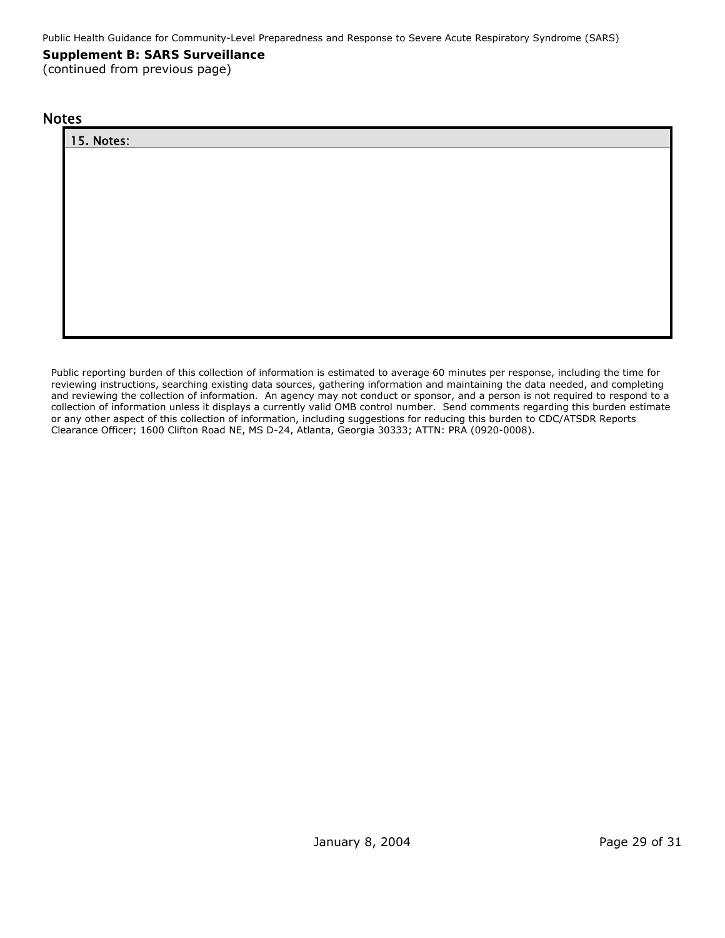# **Supplement B: SARS Surveillance**

(continued from previous page)

#### **Notes**

Public reporting burden of this collection of information is estimated to average 60 minutes per response, including the time for reviewing instructions, searching existing data sources, gathering information and maintaining the data needed, and completing and reviewing the collection of information. An agency may not conduct or sponsor, and a person is not required to respond to a collection of information unless it displays a currently valid OMB control number. Send comments regarding this burden estimate or any other aspect of this collection of information, including suggestions for reducing this burden to CDC/ATSDR Reports Clearance Officer; 1600 Clifton Road NE, MS D-24, Atlanta, Georgia 30333; ATTN: PRA (0920-0008).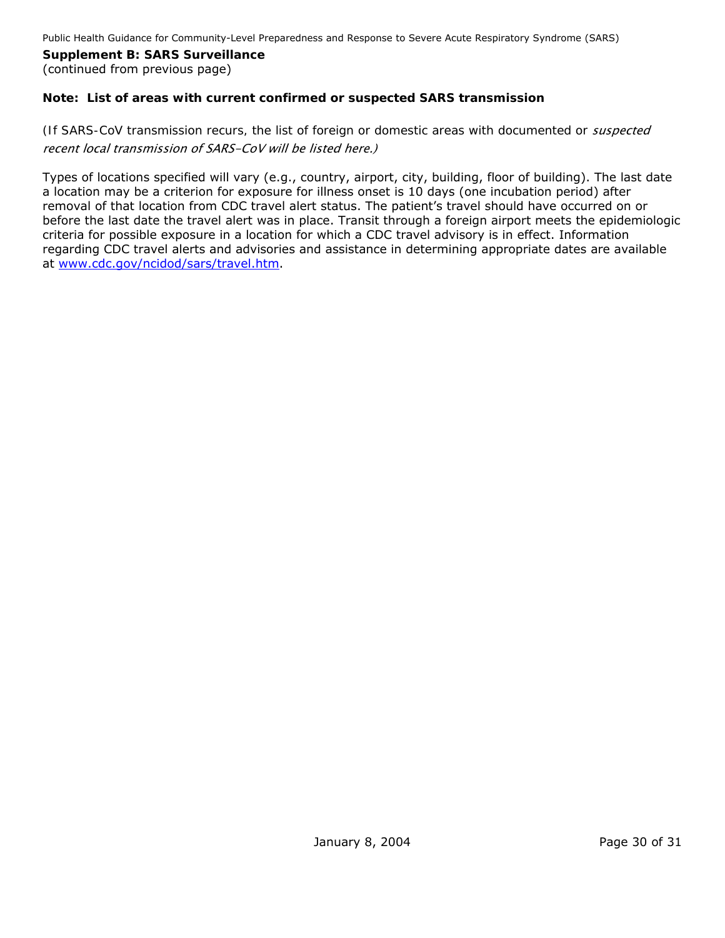#### **Supplement B: SARS Surveillance**  (continued from previous page)

# **Note: List of areas with current confirmed or suspected SARS transmission**

# *(If SARS-CoV transmission recurs, the list of foreign or domestic areas with documented or suspected* recent local transmission of SARS-CoV will be listed here.)

Types of locations specified will vary (e.g., country, airport, city, building, floor of building). The last date a location may be a criterion for exposure for illness onset is 10 days (one incubation period) after removal of that location from CDC travel alert status. The patient's travel should have occurred on or before the last date the travel alert was in place. Transit through a foreign airport meets the epidemiologic criteria for possible exposure in a location for which a CDC travel advisory is in effect. Information regarding CDC travel alerts and advisories and assistance in determining appropriate dates are available at [www.cdc.gov/ncidod/sars/travel.htm.](http://www.cdc.gov/ncidod/sars/travel.htm)